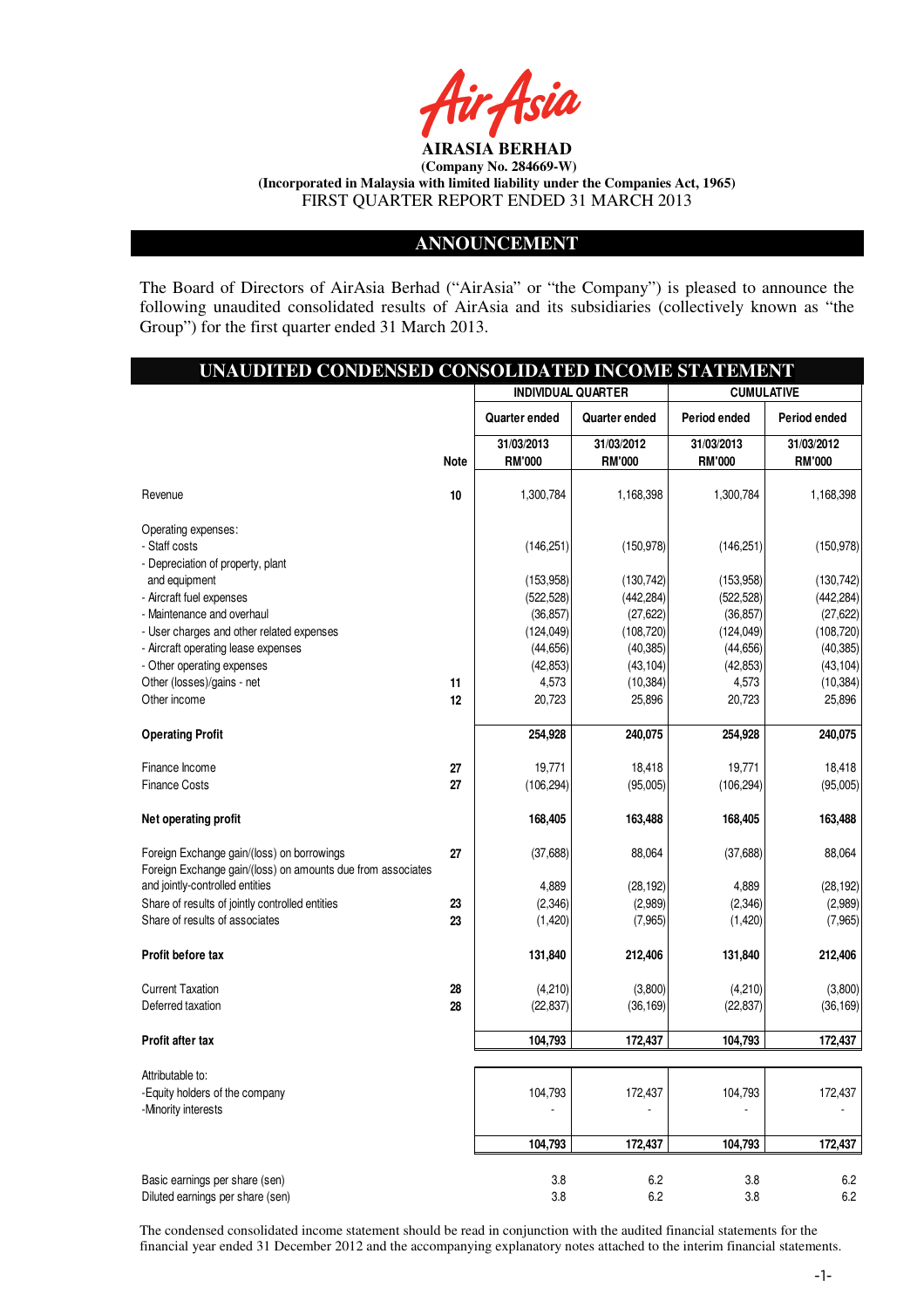

#### **ANNOUNCEMENT**

The Board of Directors of AirAsia Berhad ("AirAsia" or "the Company") is pleased to announce the following unaudited consolidated results of AirAsia and its subsidiaries (collectively known as "the Group") for the first quarter ended 31 March 2013.

I

| UNAUDITED CONDENSED CONSOLIDATED INCOME STATEMENT                                              |             |                                                |                             |                             |                             |  |
|------------------------------------------------------------------------------------------------|-------------|------------------------------------------------|-----------------------------|-----------------------------|-----------------------------|--|
|                                                                                                |             | <b>INDIVIDUAL QUARTER</b><br><b>CUMULATIVE</b> |                             |                             |                             |  |
|                                                                                                |             | <b>Quarter ended</b>                           | <b>Quarter ended</b>        | Period ended                | Period ended                |  |
|                                                                                                | <b>Note</b> | 31/03/2013<br><b>RM'000</b>                    | 31/03/2012<br><b>RM'000</b> | 31/03/2013<br><b>RM'000</b> | 31/03/2012<br><b>RM'000</b> |  |
| Revenue                                                                                        | 10          | 1,300,784                                      | 1,168,398                   | 1,300,784                   | 1,168,398                   |  |
| Operating expenses:                                                                            |             |                                                |                             |                             |                             |  |
| - Staff costs                                                                                  |             | (146, 251)                                     | (150, 978)                  | (146, 251)                  | (150, 978)                  |  |
| - Depreciation of property, plant                                                              |             |                                                |                             |                             |                             |  |
| and equipment                                                                                  |             | (153, 958)                                     | (130, 742)                  | (153, 958)                  | (130, 742)                  |  |
| - Aircraft fuel expenses                                                                       |             | (522, 528)                                     | (442, 284)                  | (522, 528)                  | (442, 284)                  |  |
| - Maintenance and overhaul                                                                     |             | (36, 857)                                      | (27, 622)                   | (36, 857)                   | (27, 622)                   |  |
| - User charges and other related expenses                                                      |             | (124, 049)                                     | (108, 720)                  | (124, 049)                  | (108, 720)                  |  |
| - Aircraft operating lease expenses                                                            |             | (44, 656)                                      | (40, 385)                   | (44, 656)                   | (40, 385)                   |  |
| - Other operating expenses                                                                     |             | (42, 853)                                      | (43, 104)                   | (42, 853)                   | (43, 104)                   |  |
| Other (losses)/gains - net                                                                     | 11          | 4,573                                          | (10, 384)                   | 4,573                       | (10, 384)                   |  |
| Other income                                                                                   | 12          | 20,723                                         | 25,896                      | 20,723                      | 25,896                      |  |
| <b>Operating Profit</b>                                                                        |             | 254,928                                        | 240,075                     | 254,928                     | 240,075                     |  |
| Finance Income                                                                                 | 27          | 19,771                                         | 18,418                      | 19,771                      | 18,418                      |  |
| <b>Finance Costs</b>                                                                           | 27          | (106, 294)                                     | (95,005)                    | (106, 294)                  | (95,005)                    |  |
| Net operating profit                                                                           |             | 168,405                                        | 163,488                     | 168,405                     | 163,488                     |  |
| Foreign Exchange gain/(loss) on borrowings                                                     | 27          | (37, 688)                                      | 88,064                      | (37,688)                    | 88,064                      |  |
| Foreign Exchange gain/(loss) on amounts due from associates<br>and jointly-controlled entities |             | 4,889                                          | (28, 192)                   | 4,889                       | (28, 192)                   |  |
| Share of results of jointly controlled entities                                                | 23          | (2, 346)                                       | (2,989)                     | (2, 346)                    | (2,989)                     |  |
| Share of results of associates                                                                 | 23          | (1,420)                                        | (7,965)                     | (1,420)                     | (7,965)                     |  |
| Profit before tax                                                                              |             | 131,840                                        | 212,406                     | 131,840                     | 212,406                     |  |
| <b>Current Taxation</b>                                                                        | 28          | (4,210)                                        | (3,800)                     | (4,210)                     | (3,800)                     |  |
| Deferred taxation                                                                              | 28          | (22, 837)                                      | (36, 169)                   | (22, 837)                   | (36, 169)                   |  |
| <b>Profit after tax</b>                                                                        |             | 104,793                                        | 172,437                     | 104,793                     | 172,437                     |  |
| Attributable to:                                                                               |             |                                                |                             |                             |                             |  |
| -Equity holders of the company                                                                 |             | 104,793                                        | 172,437                     | 104,793                     | 172,437                     |  |
| -Minority interests                                                                            |             |                                                |                             |                             |                             |  |
|                                                                                                |             | 104,793                                        | 172,437                     | 104,793                     | 172,437                     |  |
| Basic earnings per share (sen)                                                                 |             | $3.8\,$                                        | $6.2\,$                     | 3.8                         | 6.2                         |  |
| Diluted earnings per share (sen)                                                               |             | 3.8                                            | 6.2                         | 3.8                         | 6.2                         |  |

The condensed consolidated income statement should be read in conjunction with the audited financial statements for the financial year ended 31 December 2012 and the accompanying explanatory notes attached to the interim financial statements.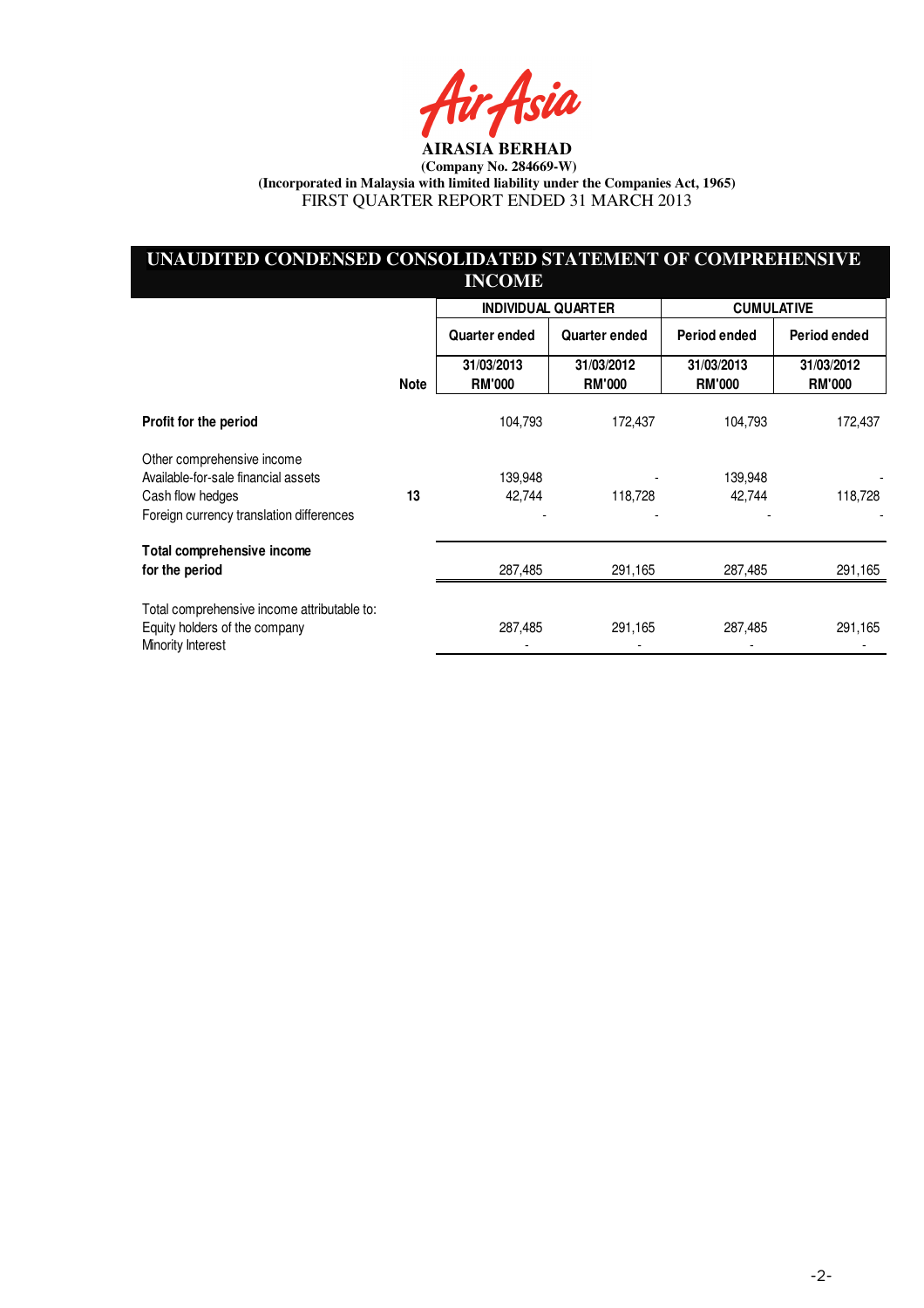4sia

# **UNAUDITED CONDENSED CONSOLIDATED STATEMENT OF COMPREHENSIVE INCOME**

|                                                                                                                                   |             |                             | <b>INDIVIDUAL QUARTER</b>   | <b>CUMULATIVE</b>           |                             |
|-----------------------------------------------------------------------------------------------------------------------------------|-------------|-----------------------------|-----------------------------|-----------------------------|-----------------------------|
|                                                                                                                                   |             | Quarter ended               | Quarter ended               | Period ended                | Period ended                |
|                                                                                                                                   | <b>Note</b> | 31/03/2013<br><b>RM'000</b> | 31/03/2012<br><b>RM'000</b> | 31/03/2013<br><b>RM'000</b> | 31/03/2012<br><b>RM'000</b> |
| Profit for the period                                                                                                             |             | 104,793                     | 172,437                     | 104,793                     | 172,437                     |
| Other comprehensive income<br>Available-for-sale financial assets<br>Cash flow hedges<br>Foreign currency translation differences | 13          | 139,948<br>42,744           | 118,728                     | 139,948<br>42,744           | 118,728                     |
| Total comprehensive income<br>for the period                                                                                      |             | 287,485                     | 291,165                     | 287,485                     | 291,165                     |
| Total comprehensive income attributable to:<br>Equity holders of the company<br>Minority Interest                                 |             | 287,485                     | 291,165                     | 287,485                     | 291,165                     |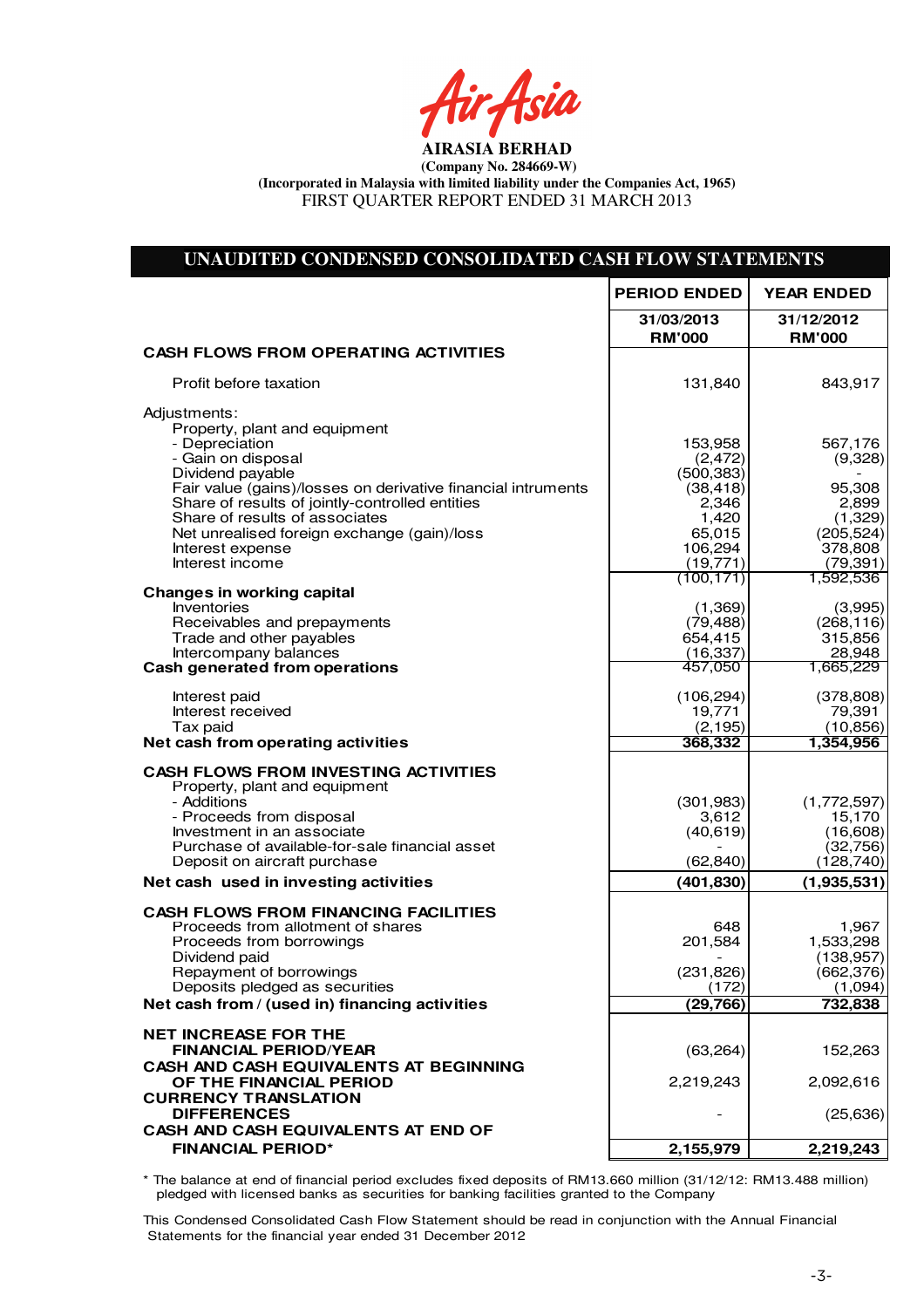tir<sub>t</sub>ksia

| UNAUDITED CONDENSED CONSOLIDATED CASH FLOW STATEMENTS                         |                             |                             |
|-------------------------------------------------------------------------------|-----------------------------|-----------------------------|
|                                                                               | <b>PERIOD ENDED</b>         | <b>YEAR ENDED</b>           |
|                                                                               | 31/03/2013<br><b>RM'000</b> | 31/12/2012<br><b>RM'000</b> |
| <b>CASH FLOWS FROM OPERATING ACTIVITIES</b>                                   |                             |                             |
| Profit before taxation                                                        | 131,840                     | 843,917                     |
| Adjustments:<br>Property, plant and equipment                                 |                             |                             |
| - Depreciation                                                                | 153,958                     | 567,176                     |
| - Gain on disposal<br>Dividend payable                                        | (2, 472)<br>(500, 383)      | (9,328)                     |
| Fair value (gains)/losses on derivative financial intruments                  | (38, 418)                   | 95,308                      |
| Share of results of jointly-controlled entities                               | 2,346                       | 2,899                       |
| Share of results of associates<br>Net unrealised foreign exchange (gain)/loss | 1,420<br>65,015             | (1,329)<br>(205, 524)       |
| Interest expense                                                              | 106,294                     | 378,808                     |
| Interest income                                                               | (19, 771)                   | (79, 391)                   |
| <b>Changes in working capital</b>                                             | (100, 171)                  | 1,592,536                   |
| Inventories                                                                   | (1, 369)                    | (3,995)                     |
| Receivables and prepayments                                                   | (79, 488)                   | (268, 116)                  |
| Trade and other payables<br>Intercompany balances                             | 654,415<br>(16, 337)        | 315,856<br>28,948           |
| <b>Cash generated from operations</b>                                         | 457,050                     | 1,665,229                   |
| Interest paid                                                                 | (106, 294)                  | (378, 808)                  |
| Interest received                                                             | 19,771                      | 79,391                      |
| Tax paid<br>Net cash from operating activities                                | (2, 195)<br>368,332         | (10, 856)<br>1,354,956      |
|                                                                               |                             |                             |
| <b>CASH FLOWS FROM INVESTING ACTIVITIES</b><br>Property, plant and equipment  |                             |                             |
| - Additions                                                                   | (301, 983)                  | (1,772,597)                 |
| - Proceeds from disposal<br>Investment in an associate                        | 3,612<br>(40, 619)          | 15,170<br>(16, 608)         |
| Purchase of available-for-sale financial asset                                |                             | (32,756)                    |
| Deposit on aircraft purchase                                                  | (62, 840)                   | (128, 740)                  |
| Net cash used in investing activities                                         | (401, 830)                  | (1,935,531)                 |
| <b>CASH FLOWS FROM FINANCING FACILITIES</b>                                   |                             |                             |
| Proceeds from allotment of shares                                             | 648                         | 1,967                       |
| Proceeds from borrowings<br>Dividend paid                                     | 201,584                     | 1,533,298<br>(138, 957)     |
| Repayment of borrowings                                                       | (231, 826)                  | (662, 376)                  |
| Deposits pledged as securities                                                | (172)                       | (1,094)                     |
| Net cash from / (used in) financing activities                                | (29, 766)                   | 732,838                     |
| <b>NET INCREASE FOR THE</b>                                                   |                             |                             |
| <b>FINANCIAL PERIOD/YEAR</b><br><b>CASH AND CASH EQUIVALENTS AT BEGINNING</b> | (63, 264)                   | 152,263                     |
| OF THE FINANCIAL PERIOD                                                       | 2,219,243                   | 2,092,616                   |
| <b>CURRENCY TRANSLATION</b>                                                   |                             |                             |
| <b>DIFFERENCES</b>                                                            |                             | (25, 636)                   |
| CASH AND CASH EQUIVALENTS AT END OF                                           |                             |                             |
| <b>FINANCIAL PERIOD*</b>                                                      | 2,155,979                   | 2,219,243                   |

Net Cash Flow (63,264) 126,627 \* The balance at end of financial period excludes fixed deposits of RM13.660 million (31/12/12: RM13.488 million) pledged with licensed banks as securities for banking facilities granted to the Company

This Condensed Consolidated Cash Flow Statement should be read in conjunction with the Annual Financial Statements for the financial year ended 31 December 2012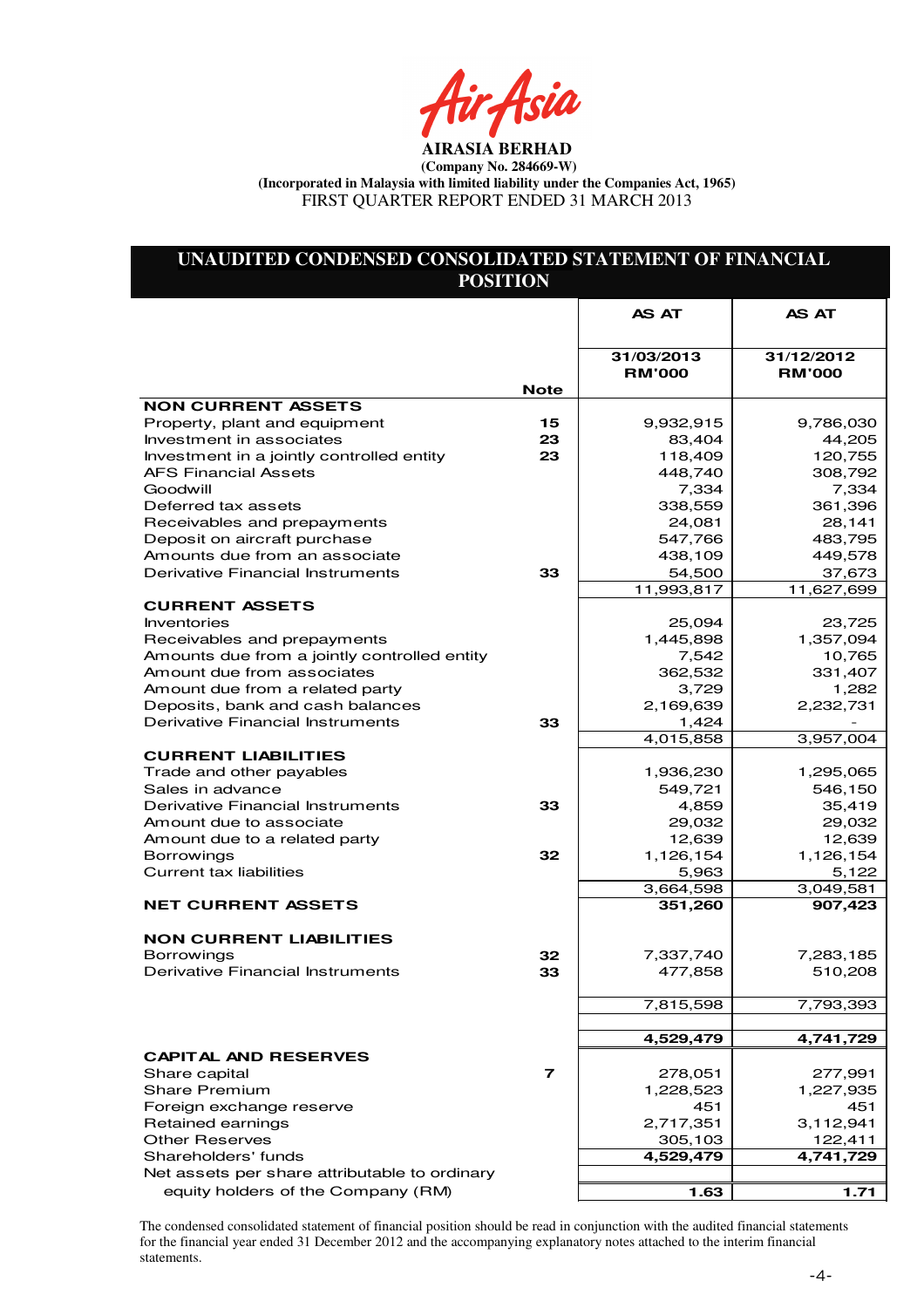ir Asia

# **UNAUDITED CONDENSED CONSOLIDATED STATEMENT OF FINANCIAL POSITION**

|                                                                       |                | <b>AS AT</b>                | <b>AS AT</b>                |
|-----------------------------------------------------------------------|----------------|-----------------------------|-----------------------------|
|                                                                       |                |                             |                             |
|                                                                       |                | 31/03/2013<br><b>RM'000</b> | 31/12/2012<br><b>RM'000</b> |
|                                                                       | <b>Note</b>    |                             |                             |
| <b>NON CURRENT ASSETS</b>                                             |                |                             |                             |
| Property, plant and equipment                                         | 15<br>23       | 9,932,915                   | 9,786,030                   |
| Investment in associates<br>Investment in a jointly controlled entity | 23             | 83,404<br>118,409           | 44,205<br>120,755           |
| <b>AFS Financial Assets</b>                                           |                | 448,740                     | 308,792                     |
| Goodwill                                                              |                | 7,334                       | 7,334                       |
| Deferred tax assets                                                   |                | 338,559                     | 361,396                     |
| Receivables and prepayments                                           |                | 24,081                      | 28,141                      |
| Deposit on aircraft purchase                                          |                | 547,766                     | 483,795                     |
| Amounts due from an associate                                         |                | 438,109                     | 449,578                     |
| Derivative Financial Instruments                                      | 33             | 54,500                      | 37,673                      |
|                                                                       |                | 11,993,817                  | 11,627,699                  |
| <b>CURRENT ASSETS</b>                                                 |                |                             |                             |
| Inventories                                                           |                | 25,094                      | 23,725                      |
| Receivables and prepayments                                           |                | 1,445,898                   | 1,357,094                   |
| Amounts due from a jointly controlled entity                          |                | 7,542                       | 10,765                      |
| Amount due from associates                                            |                | 362,532                     | 331,407                     |
| Amount due from a related party                                       |                | 3,729                       | 1,282                       |
| Deposits, bank and cash balances                                      |                | 2,169,639                   | 2,232,731                   |
| Derivative Financial Instruments                                      | 33             | 1,424                       |                             |
|                                                                       |                | 4,015,858                   | 3,957,004                   |
| <b>CURRENT LIABILITIES</b><br>Trade and other payables                |                | 1,936,230                   | 1,295,065                   |
| Sales in advance                                                      |                | 549,721                     | 546,150                     |
| Derivative Financial Instruments                                      | 33             | 4,859                       | 35,419                      |
| Amount due to associate                                               |                | 29,032                      | 29,032                      |
| Amount due to a related party                                         |                | 12,639                      | 12,639                      |
| <b>Borrowings</b>                                                     | 32             | 1,126,154                   | 1,126,154                   |
| Current tax liabilities                                               |                | 5,963                       | 5,122                       |
|                                                                       |                | 3,664,598                   | 3,049,581                   |
| <b>NET CURRENT ASSETS</b>                                             |                | 351,260                     | 907,423                     |
|                                                                       |                |                             |                             |
| <b>NON CURRENT LIABILITIES</b>                                        |                |                             |                             |
| <b>Borrowings</b>                                                     | 32             | 7,337,740                   | 7,283,185                   |
| Derivative Financial Instruments                                      | 33             | 477,858                     | 510,208                     |
|                                                                       |                |                             |                             |
|                                                                       |                | 7,815,598                   | 7,793,393                   |
|                                                                       |                | 4,529,479                   | 4,741,729                   |
| <b>CAPITAL AND RESERVES</b>                                           |                |                             |                             |
| Share capital                                                         | $\overline{ }$ | 278,051                     | 277,991                     |
| <b>Share Premium</b>                                                  |                | 1,228,523                   | 1,227,935                   |
| Foreign exchange reserve                                              |                | 451                         | 451                         |
| <b>Retained earnings</b>                                              |                | 2,717,351                   | 3,112,941                   |
| <b>Other Reserves</b>                                                 |                | 305,103                     | 122,411                     |
| Shareholders' funds                                                   |                | 4,529,479                   | 4,741,729                   |
| Net assets per share attributable to ordinary                         |                |                             |                             |
| equity holders of the Company (RM)                                    |                | 1.63                        | 1.71                        |

The condensed consolidated statement of financial position should be read in conjunction with the audited financial statements for the financial year ended 31 December 2012 and the accompanying explanatory notes attached to the interim financial statements.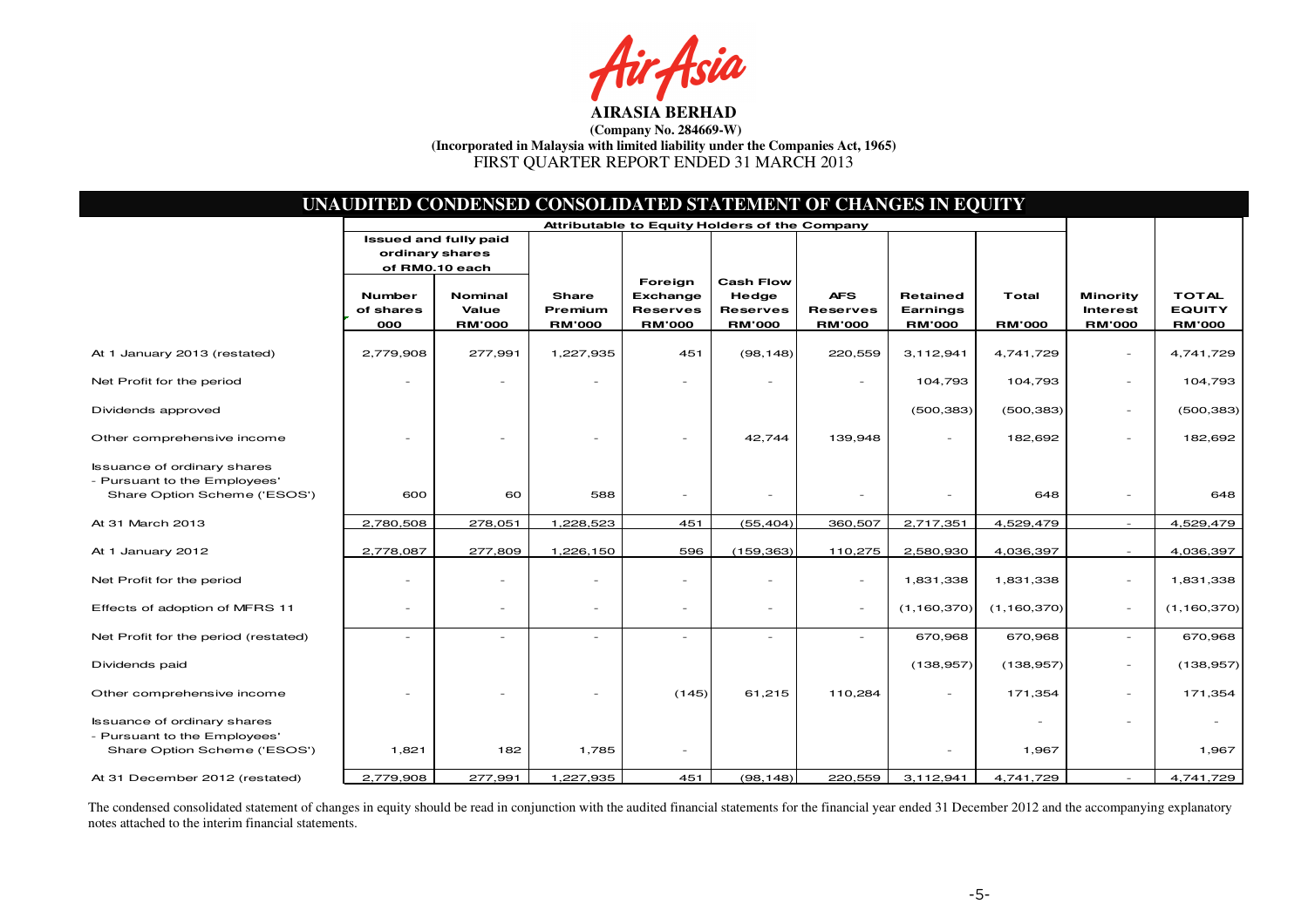fsia

|                                                                                                    |                                   | UNAUDITED CONDENSED CONSOLIDATED STATEMENT OF CHANGES IN EQUITY |                                   |                                                         |                                                               |                                                |                                              |                        |                                                     |                                                |
|----------------------------------------------------------------------------------------------------|-----------------------------------|-----------------------------------------------------------------|-----------------------------------|---------------------------------------------------------|---------------------------------------------------------------|------------------------------------------------|----------------------------------------------|------------------------|-----------------------------------------------------|------------------------------------------------|
|                                                                                                    | ordinary shares                   | <b>Issued and fully paid</b><br>of RM0.10 each                  |                                   | Attributable to Equity Holders of the Company           |                                                               |                                                |                                              |                        |                                                     |                                                |
|                                                                                                    | <b>Number</b><br>of shares<br>000 | Nominal<br>Value<br><b>RM'000</b>                               | Share<br>Premium<br><b>RM'000</b> | Foreign<br>Exchange<br><b>Reserves</b><br><b>RM'000</b> | <b>Cash Flow</b><br>Hedge<br><b>Reserves</b><br><b>RM'000</b> | <b>AFS</b><br><b>Reserves</b><br><b>RM'000</b> | <b>Retained</b><br>Earnings<br><b>RM'000</b> | Total<br><b>RM'000</b> | <b>Minority</b><br><b>Interest</b><br><b>RM'000</b> | <b>TOTAL</b><br><b>EQUITY</b><br><b>RM'000</b> |
| At 1 January 2013 (restated)                                                                       | 2,779,908                         | 277,991                                                         | 1,227,935                         | 451                                                     | (98, 148)                                                     | 220,559                                        | 3,112,941                                    | 4,741,729              | $\sim$                                              | 4,741,729                                      |
| Net Profit for the period                                                                          |                                   |                                                                 |                                   |                                                         |                                                               | $\overline{\phantom{a}}$                       | 104,793                                      | 104,793                | $\sim$                                              | 104,793                                        |
| Dividends approved                                                                                 |                                   |                                                                 |                                   |                                                         |                                                               |                                                | (500, 383)                                   | (500, 383)             | $\overline{a}$                                      | (500, 383)                                     |
| Other comprehensive income                                                                         |                                   |                                                                 |                                   |                                                         | 42,744                                                        | 139,948                                        |                                              | 182,692                | $\overline{\phantom{a}}$                            | 182,692                                        |
| <b>Issuance of ordinary shares</b><br>- Pursuant to the Employees'<br>Share Option Scheme ('ESOS') | 600                               | 60                                                              | 588                               | $\equiv$                                                |                                                               |                                                |                                              | 648                    | $\overline{\phantom{a}}$                            | 648                                            |
| At 31 March 2013                                                                                   | 2,780,508                         | 278,051                                                         | 1,228,523                         | 451                                                     | (55, 404)                                                     | 360,507                                        | 2,717,351                                    | 4,529,479              | $\sim$                                              | 4,529,479                                      |
| At 1 January 2012                                                                                  | 2,778,087                         | 277,809                                                         | 1,226,150                         | 596                                                     | (159, 363)                                                    | 110,275                                        | 2,580,930                                    | 4,036,397              | $\sim$                                              | 4,036,397                                      |
| Net Profit for the period                                                                          | ٠                                 |                                                                 |                                   | $\overline{\phantom{a}}$                                | $\overline{\phantom{0}}$                                      | $\overline{\phantom{a}}$                       | 1,831,338                                    | 1,831,338              | $\overline{\phantom{a}}$                            | 1,831,338                                      |
| Effects of adoption of MFRS 11                                                                     | $\overline{\phantom{a}}$          |                                                                 | $\overline{\phantom{a}}$          | $\overline{\phantom{a}}$                                | $\overline{\phantom{a}}$                                      | $\overline{\phantom{a}}$                       | (1, 160, 370)                                | (1, 160, 370)          | $\overline{\phantom{a}}$                            | (1, 160, 370)                                  |
| Net Profit for the period (restated)                                                               |                                   |                                                                 |                                   |                                                         |                                                               |                                                | 670,968                                      | 670,968                | $\overline{\phantom{a}}$                            | 670,968                                        |
| Dividends paid                                                                                     |                                   |                                                                 |                                   |                                                         |                                                               |                                                | (138, 957)                                   | (138, 957)             | $\overline{a}$                                      | (138, 957)                                     |
| Other comprehensive income                                                                         |                                   |                                                                 |                                   | (145)                                                   | 61,215                                                        | 110,284                                        |                                              | 171,354                | $\overline{\phantom{a}}$                            | 171,354                                        |
| <b>Issuance of ordinary shares</b><br>- Pursuant to the Employees'<br>Share Option Scheme ('ESOS') | 1,821                             | 182                                                             | 1,785                             | $\overline{\phantom{a}}$                                |                                                               |                                                |                                              | 1,967                  | $\sim$                                              | 1,967                                          |
| At 31 December 2012 (restated)                                                                     | 2,779,908                         | 277,991                                                         | 1,227,935                         | 451                                                     | (98, 148)                                                     | 220,559                                        | 3,112,941                                    | 4,741,729              |                                                     | 4,741,729                                      |

The condensed consolidated statement of changes in equity should be read in conjunction with the audited financial statements for the financial year ended 31 December 2012 and the accompanying explanatory<br>notes attached to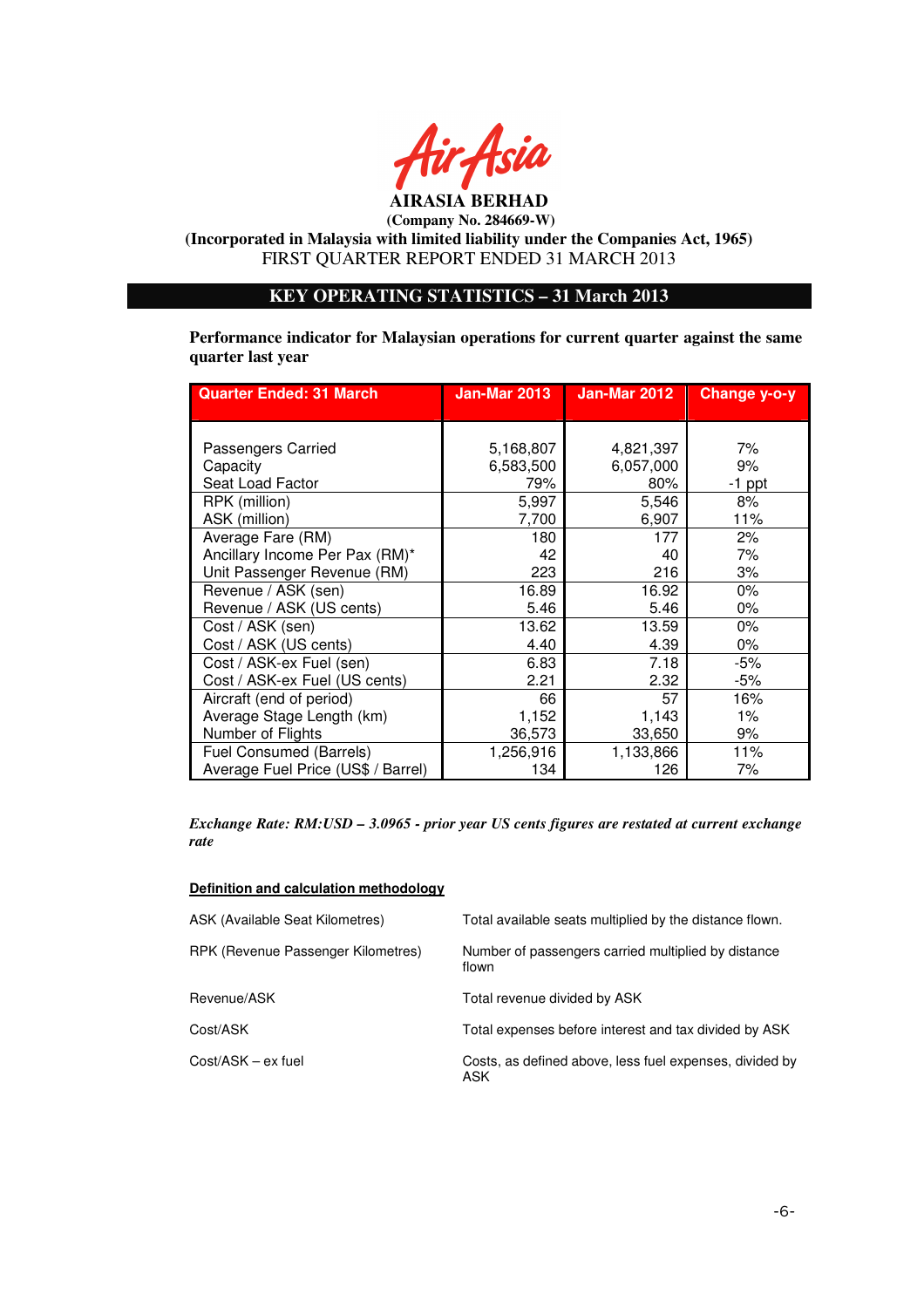

**AIRASIA BERHAD** 

 **(Company No. 284669-W) (Incorporated in Malaysia with limited liability under the Companies Act, 1965)**  FIRST QUARTER REPORT ENDED 31 MARCH 2013

# **KEY OPERATING STATISTICS – 31 March 2013**

**Performance indicator for Malaysian operations for current quarter against the same quarter last year** 

| <b>Quarter Ended: 31 March</b>     | <b>Jan-Mar 2013</b> | Jan-Mar 2012 | Change y-o-y |
|------------------------------------|---------------------|--------------|--------------|
|                                    |                     |              |              |
|                                    |                     |              |              |
| Passengers Carried                 | 5,168,807           | 4,821,397    | 7%           |
| Capacity                           | 6,583,500           | 6,057,000    | 9%           |
| Seat Load Factor                   | 79%                 | 80%          | $-1$ ppt     |
| RPK (million)                      | 5,997               | 5,546        | 8%           |
| ASK (million)                      | 7,700               | 6,907        | 11%          |
| Average Fare (RM)                  | 180                 | 177          | 2%           |
| Ancillary Income Per Pax (RM)*     | 42                  | 40           | 7%           |
| Unit Passenger Revenue (RM)        | 223                 | 216          | 3%           |
| Revenue / ASK (sen)                | 16.89               | 16.92        | $0\%$        |
| Revenue / ASK (US cents)           | 5.46                | 5.46         | $0\%$        |
| Cost / ASK (sen)                   | 13.62               | 13.59        | $0\%$        |
| Cost / ASK (US cents)              | 4.40                | 4.39         | $0\%$        |
| Cost / ASK-ex Fuel (sen)           | 6.83                | 7.18         | -5%          |
| Cost / ASK-ex Fuel (US cents)      | 2.21                | 2.32         | -5%          |
| Aircraft (end of period)           | 66                  | 57           | 16%          |
| Average Stage Length (km)          | 1,152               | 1,143        | $1\%$        |
| Number of Flights                  | 36,573              | 33,650       | 9%           |
| Fuel Consumed (Barrels)            | 1,256,916           | 1,133,866    | 11%          |
| Average Fuel Price (US\$ / Barrel) | 134                 | 126          | 7%           |

*Exchange Rate: RM:USD – 3.0965 - prior year US cents figures are restated at current exchange rate* 

#### **Definition and calculation methodology**

| ASK (Available Seat Kilometres)    | Total available seats multiplied by the distance flown.         |
|------------------------------------|-----------------------------------------------------------------|
| RPK (Revenue Passenger Kilometres) | Number of passengers carried multiplied by distance<br>flown    |
| Revenue/ASK                        | Total revenue divided by ASK                                    |
| Cost/ASK                           | Total expenses before interest and tax divided by ASK           |
| Cost/ASK – ex fuel                 | Costs, as defined above, less fuel expenses, divided by<br>ASK. |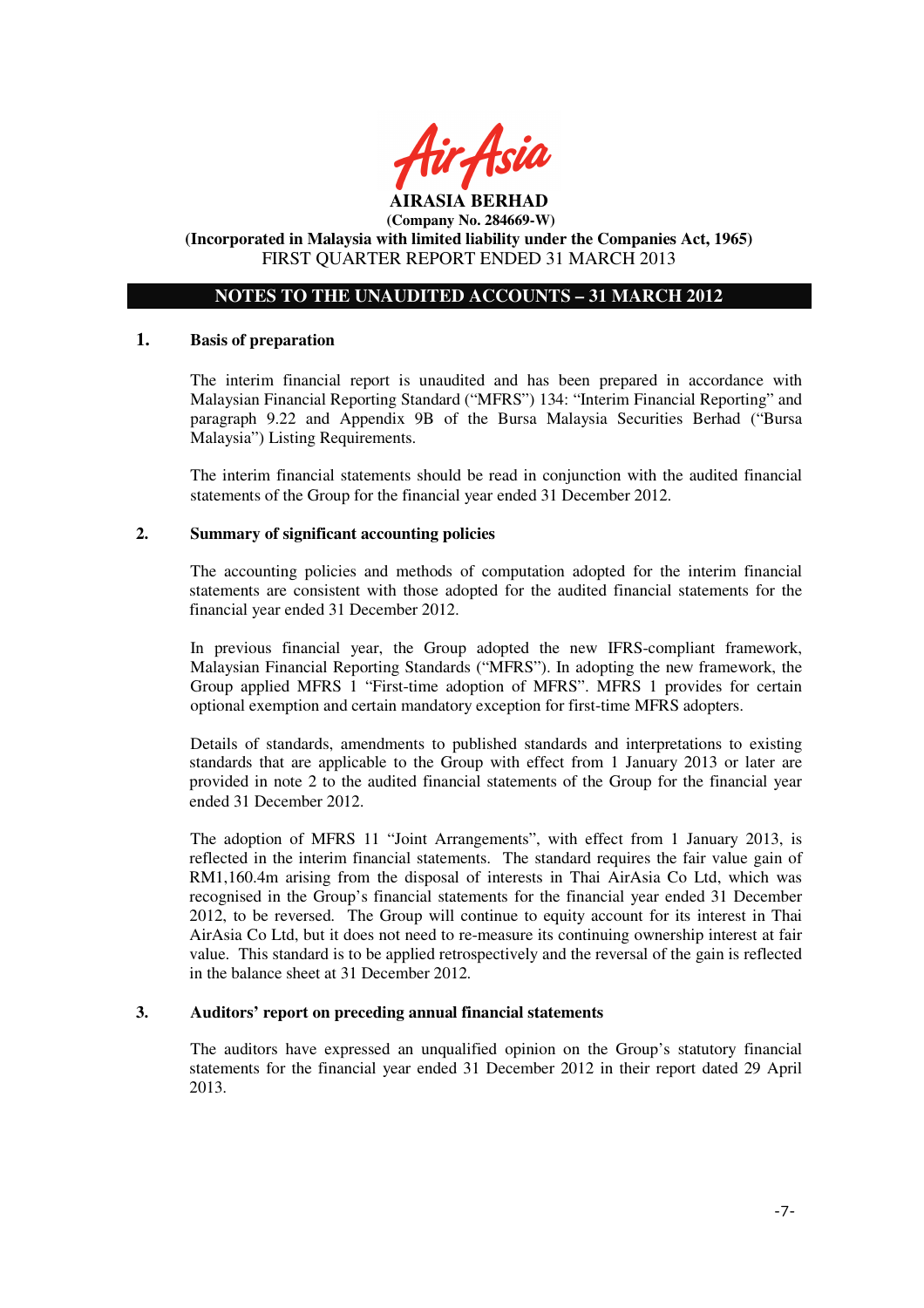

#### **AIRASIA BERHAD (Company No. 284669-W) (Incorporated in Malaysia with limited liability under the Companies Act, 1965)**

FIRST QUARTER REPORT ENDED 31 MARCH 2013

# **NOTES TO THE UNAUDITED ACCOUNTS – 31 MARCH 2012**

## **1. Basis of preparation**

The interim financial report is unaudited and has been prepared in accordance with Malaysian Financial Reporting Standard ("MFRS") 134: "Interim Financial Reporting" and paragraph 9.22 and Appendix 9B of the Bursa Malaysia Securities Berhad ("Bursa Malaysia") Listing Requirements.

The interim financial statements should be read in conjunction with the audited financial statements of the Group for the financial year ended 31 December 2012.

## **2. Summary of significant accounting policies**

The accounting policies and methods of computation adopted for the interim financial statements are consistent with those adopted for the audited financial statements for the financial year ended 31 December 2012.

In previous financial year, the Group adopted the new IFRS-compliant framework, Malaysian Financial Reporting Standards ("MFRS"). In adopting the new framework, the Group applied MFRS 1 "First-time adoption of MFRS". MFRS 1 provides for certain optional exemption and certain mandatory exception for first-time MFRS adopters.

Details of standards, amendments to published standards and interpretations to existing standards that are applicable to the Group with effect from 1 January 2013 or later are provided in note 2 to the audited financial statements of the Group for the financial year ended 31 December 2012.

The adoption of MFRS 11 "Joint Arrangements", with effect from 1 January 2013, is reflected in the interim financial statements. The standard requires the fair value gain of RM1,160.4m arising from the disposal of interests in Thai AirAsia Co Ltd, which was recognised in the Group's financial statements for the financial year ended 31 December 2012, to be reversed. The Group will continue to equity account for its interest in Thai AirAsia Co Ltd, but it does not need to re-measure its continuing ownership interest at fair value. This standard is to be applied retrospectively and the reversal of the gain is reflected in the balance sheet at 31 December 2012.

## **3. Auditors' report on preceding annual financial statements**

The auditors have expressed an unqualified opinion on the Group's statutory financial statements for the financial year ended 31 December 2012 in their report dated 29 April 2013.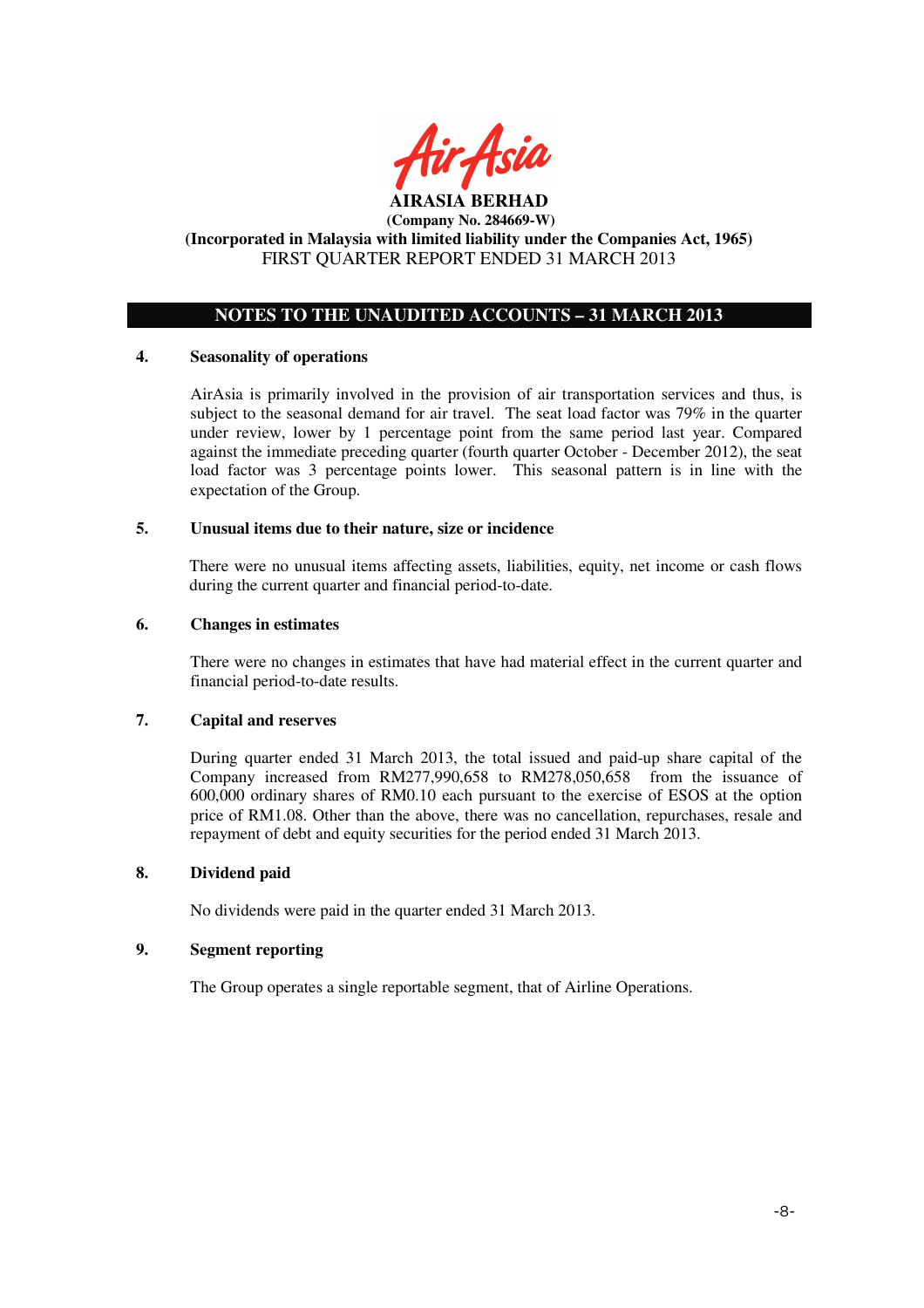

# **NOTES TO THE UNAUDITED ACCOUNTS – 31 MARCH 2013**

## **4. Seasonality of operations**

AirAsia is primarily involved in the provision of air transportation services and thus, is subject to the seasonal demand for air travel. The seat load factor was 79% in the quarter under review, lower by 1 percentage point from the same period last year. Compared against the immediate preceding quarter (fourth quarter October - December 2012), the seat load factor was 3 percentage points lower. This seasonal pattern is in line with the expectation of the Group.

## **5. Unusual items due to their nature, size or incidence**

There were no unusual items affecting assets, liabilities, equity, net income or cash flows during the current quarter and financial period-to-date.

## **6. Changes in estimates**

There were no changes in estimates that have had material effect in the current quarter and financial period-to-date results.

## **7. Capital and reserves**

During quarter ended 31 March 2013, the total issued and paid-up share capital of the Company increased from RM277,990,658 to RM278,050,658 from the issuance of 600,000 ordinary shares of RM0.10 each pursuant to the exercise of ESOS at the option price of RM1.08. Other than the above, there was no cancellation, repurchases, resale and repayment of debt and equity securities for the period ended 31 March 2013.

## **8. Dividend paid**

No dividends were paid in the quarter ended 31 March 2013.

## **9. Segment reporting**

The Group operates a single reportable segment, that of Airline Operations.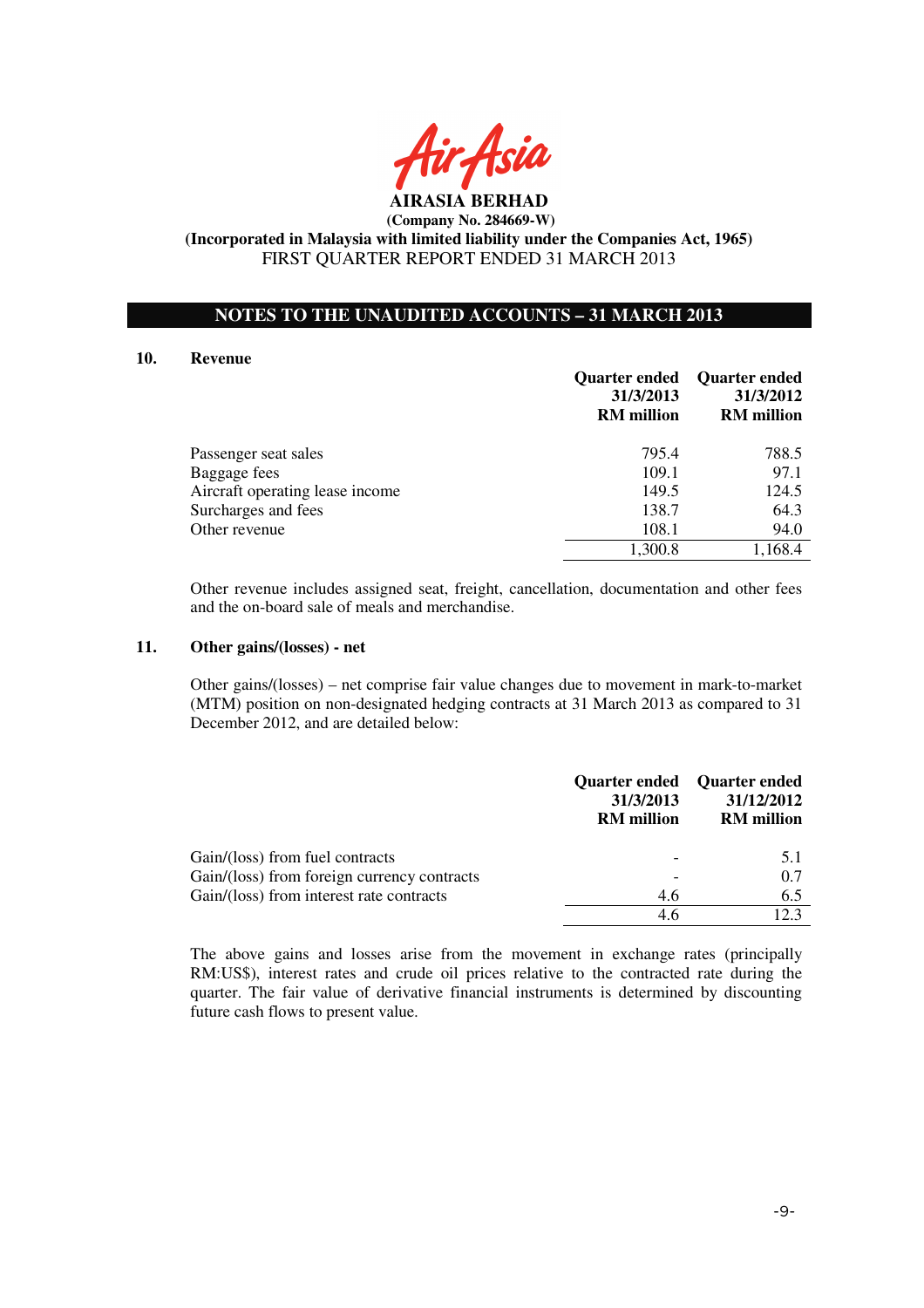

## **NOTES TO THE UNAUDITED ACCOUNTS – 31 MARCH 2013**

#### **10. Revenue**

|                                 | 31/3/2013<br><b>RM</b> million | Quarter ended Quarter ended<br>31/3/2012<br><b>RM</b> million |
|---------------------------------|--------------------------------|---------------------------------------------------------------|
| Passenger seat sales            | 795.4                          | 788.5                                                         |
| Baggage fees                    | 109.1                          | 97.1                                                          |
| Aircraft operating lease income | 149.5                          | 124.5                                                         |
| Surcharges and fees             | 138.7                          | 64.3                                                          |
| Other revenue                   | 108.1                          | 94.0                                                          |
|                                 | 1,300.8                        | 1,168.4                                                       |

Other revenue includes assigned seat, freight, cancellation, documentation and other fees and the on-board sale of meals and merchandise.

#### **11. Other gains/(losses) - net**

 Other gains/(losses) – net comprise fair value changes due to movement in mark-to-market (MTM) position on non-designated hedging contracts at 31 March 2013 as compared to 31 December 2012, and are detailed below:

|                                             | 31/3/2013<br><b>RM</b> million | Quarter ended Quarter ended<br>31/12/2012<br><b>RM</b> million |
|---------------------------------------------|--------------------------------|----------------------------------------------------------------|
| Gain/(loss) from fuel contracts             |                                | 5.1                                                            |
| Gain/(loss) from foreign currency contracts |                                | 0.7                                                            |
| Gain/(loss) from interest rate contracts    | 4.6                            | 6.5                                                            |
|                                             | 4.6                            | 12.3                                                           |

The above gains and losses arise from the movement in exchange rates (principally RM:US\$), interest rates and crude oil prices relative to the contracted rate during the quarter. The fair value of derivative financial instruments is determined by discounting future cash flows to present value.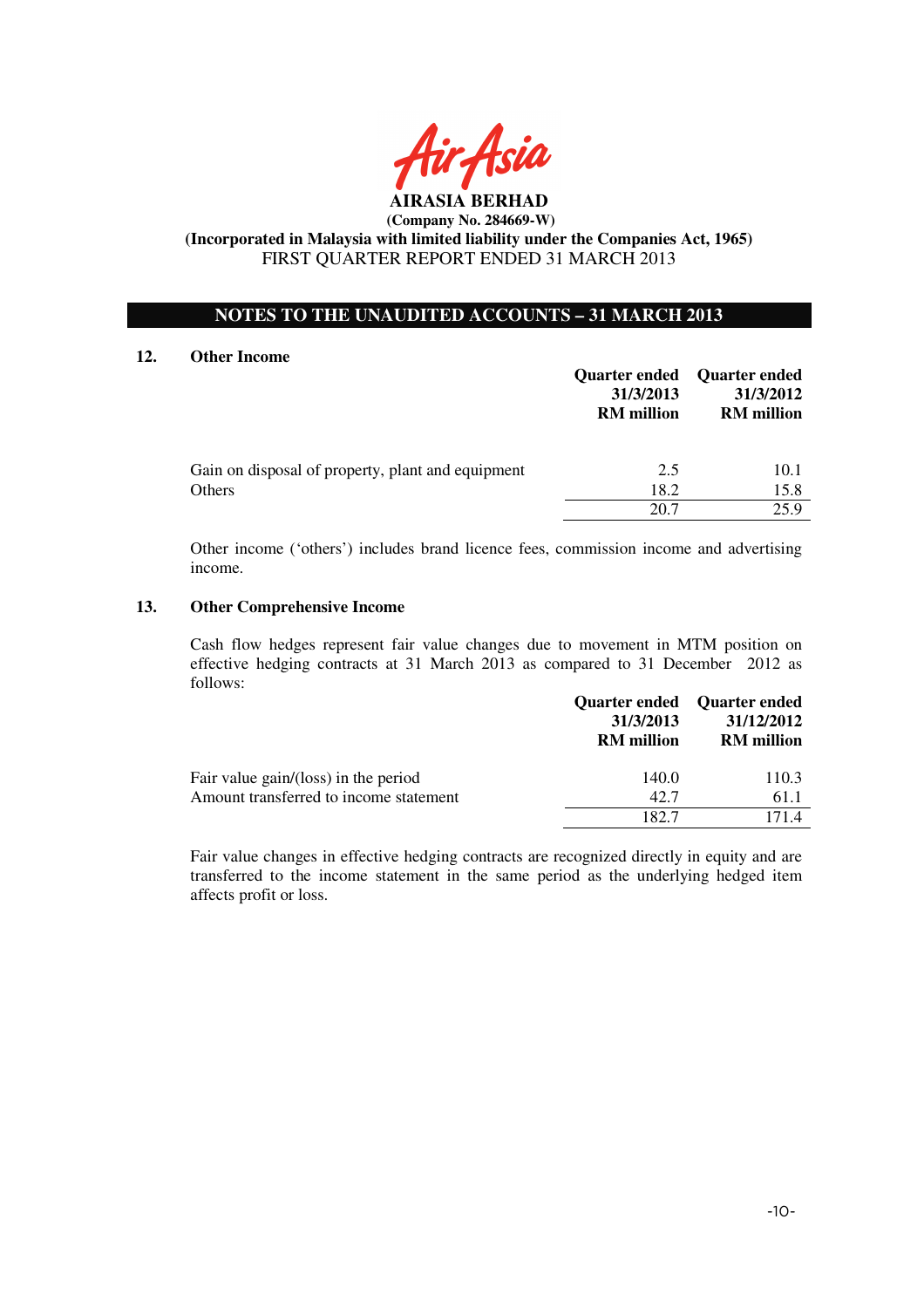

## **NOTES TO THE UNAUDITED ACCOUNTS – 31 MARCH 2013**

#### **12. Other Income**

|                                                             | 31/3/2013<br><b>RM</b> million | Quarter ended Quarter ended<br>31/3/2012<br><b>RM</b> million |
|-------------------------------------------------------------|--------------------------------|---------------------------------------------------------------|
| Gain on disposal of property, plant and equipment<br>Others | 2.5<br>18.2                    | 10.1<br>15.8                                                  |
|                                                             | 20.7                           | 25.9                                                          |

Other income ('others') includes brand licence fees, commission income and advertising income.

## **13. Other Comprehensive Income**

Cash flow hedges represent fair value changes due to movement in MTM position on effective hedging contracts at 31 March 2013 as compared to 31 December 2012 as follows:

|                                        |                                | Quarter ended Quarter ended     |
|----------------------------------------|--------------------------------|---------------------------------|
|                                        | 31/3/2013<br><b>RM</b> million | 31/12/2012<br><b>RM</b> million |
| Fair value gain/(loss) in the period   | 140.0                          | 110.3                           |
| Amount transferred to income statement | 42.7                           | 61.1                            |
|                                        | 182.7                          | 1714                            |

Fair value changes in effective hedging contracts are recognized directly in equity and are transferred to the income statement in the same period as the underlying hedged item affects profit or loss.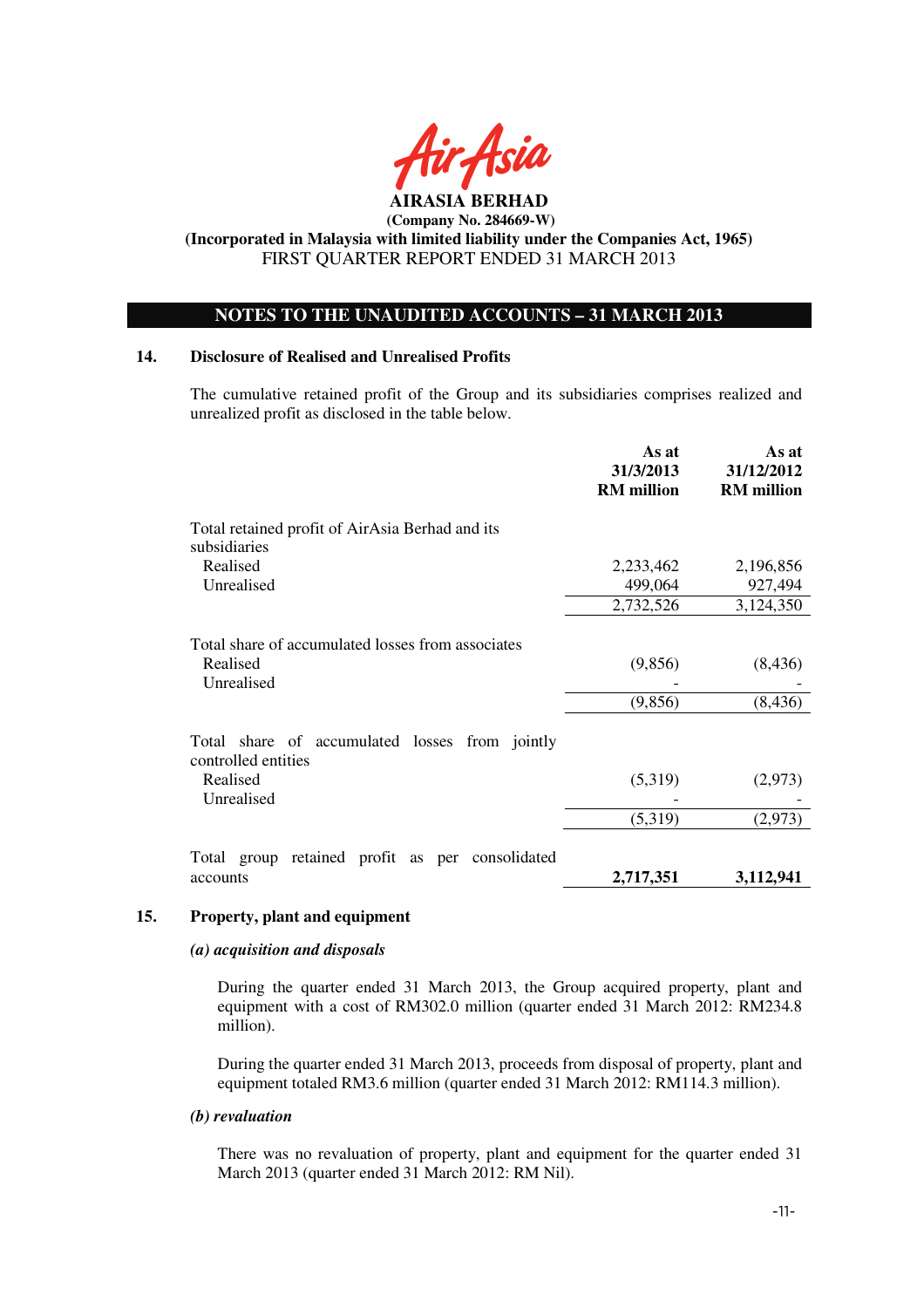

 **(Company No. 284669-W)** 

**(Incorporated in Malaysia with limited liability under the Companies Act, 1965)**  FIRST QUARTER REPORT ENDED 31 MARCH 2013

# **NOTES TO THE UNAUDITED ACCOUNTS – 31 MARCH 2013**

## **14. Disclosure of Realised and Unrealised Profits**

The cumulative retained profit of the Group and its subsidiaries comprises realized and unrealized profit as disclosed in the table below.

|                                                                             | As at<br>31/3/2013<br><b>RM</b> million | As at<br>31/12/2012<br><b>RM</b> million |
|-----------------------------------------------------------------------------|-----------------------------------------|------------------------------------------|
| Total retained profit of AirAsia Berhad and its<br>subsidiaries             |                                         |                                          |
| Realised                                                                    | 2,233,462                               | 2,196,856                                |
| Unrealised                                                                  | 499,064                                 | 927,494                                  |
|                                                                             | 2,732,526                               | 3,124,350                                |
| Total share of accumulated losses from associates<br>Realised<br>Unrealised | (9,856)<br>(9, 856)                     | (8, 436)<br>(8, 436)                     |
| Total share of accumulated losses from jointly<br>controlled entities       |                                         |                                          |
| Realised                                                                    | (5,319)                                 | (2,973)                                  |
| Unrealised                                                                  |                                         |                                          |
|                                                                             | (5,319)                                 | (2,973)                                  |
| Total group retained profit as per consolidated                             |                                         |                                          |
| accounts                                                                    | 2,717,351                               | 3,112,941                                |

#### **15. Property, plant and equipment**

#### *(a) acquisition and disposals*

During the quarter ended 31 March 2013, the Group acquired property, plant and equipment with a cost of RM302.0 million (quarter ended 31 March 2012: RM234.8 million).

During the quarter ended 31 March 2013, proceeds from disposal of property, plant and equipment totaled RM3.6 million (quarter ended 31 March 2012: RM114.3 million).

#### *(b) revaluation*

There was no revaluation of property, plant and equipment for the quarter ended 31 March 2013 (quarter ended 31 March 2012: RM Nil).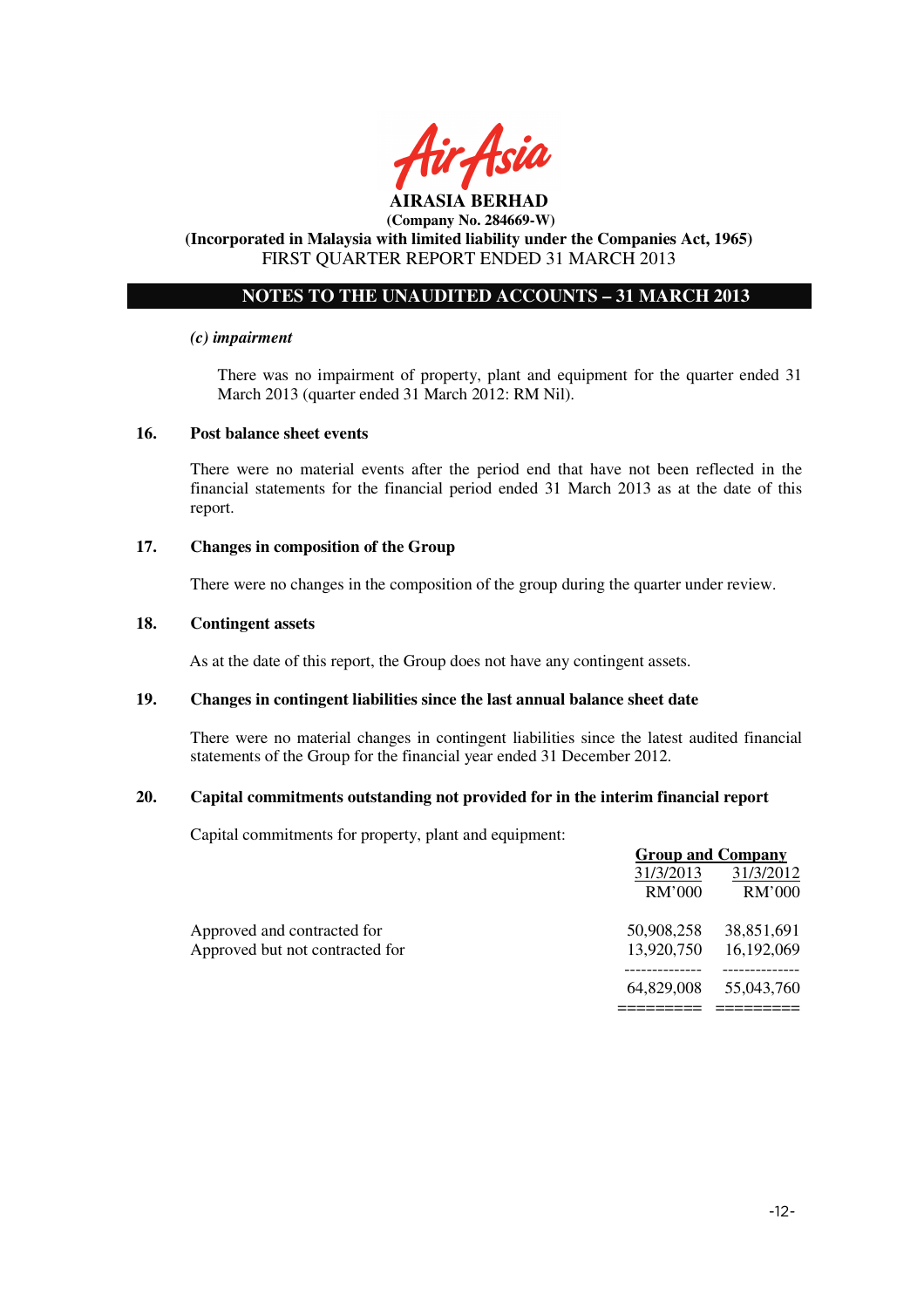

#### **AIRASIA BERHAD (Company No. 284669-W)**

# **(Incorporated in Malaysia with limited liability under the Companies Act, 1965)**  FIRST QUARTER REPORT ENDED 31 MARCH 2013

# **NOTES TO THE UNAUDITED ACCOUNTS – 31 MARCH 2013**

#### *(c) impairment*

There was no impairment of property, plant and equipment for the quarter ended 31 March 2013 (quarter ended 31 March 2012: RM Nil).

#### **16. Post balance sheet events**

There were no material events after the period end that have not been reflected in the financial statements for the financial period ended 31 March 2013 as at the date of this report.

### **17. Changes in composition of the Group**

There were no changes in the composition of the group during the quarter under review.

#### **18. Contingent assets**

As at the date of this report, the Group does not have any contingent assets.

#### **19. Changes in contingent liabilities since the last annual balance sheet date**

There were no material changes in contingent liabilities since the latest audited financial statements of the Group for the financial year ended 31 December 2012.

## **20. Capital commitments outstanding not provided for in the interim financial report**

Capital commitments for property, plant and equipment:

|                                 | <b>Group and Company</b> |            |
|---------------------------------|--------------------------|------------|
|                                 | 31/3/2013                | 31/3/2012  |
|                                 | RM'000                   | RM'000     |
| Approved and contracted for     | 50,908,258               | 38,851,691 |
| Approved but not contracted for | 13,920,750               | 16,192,069 |
|                                 | 64,829,008               | 55,043,760 |
|                                 |                          |            |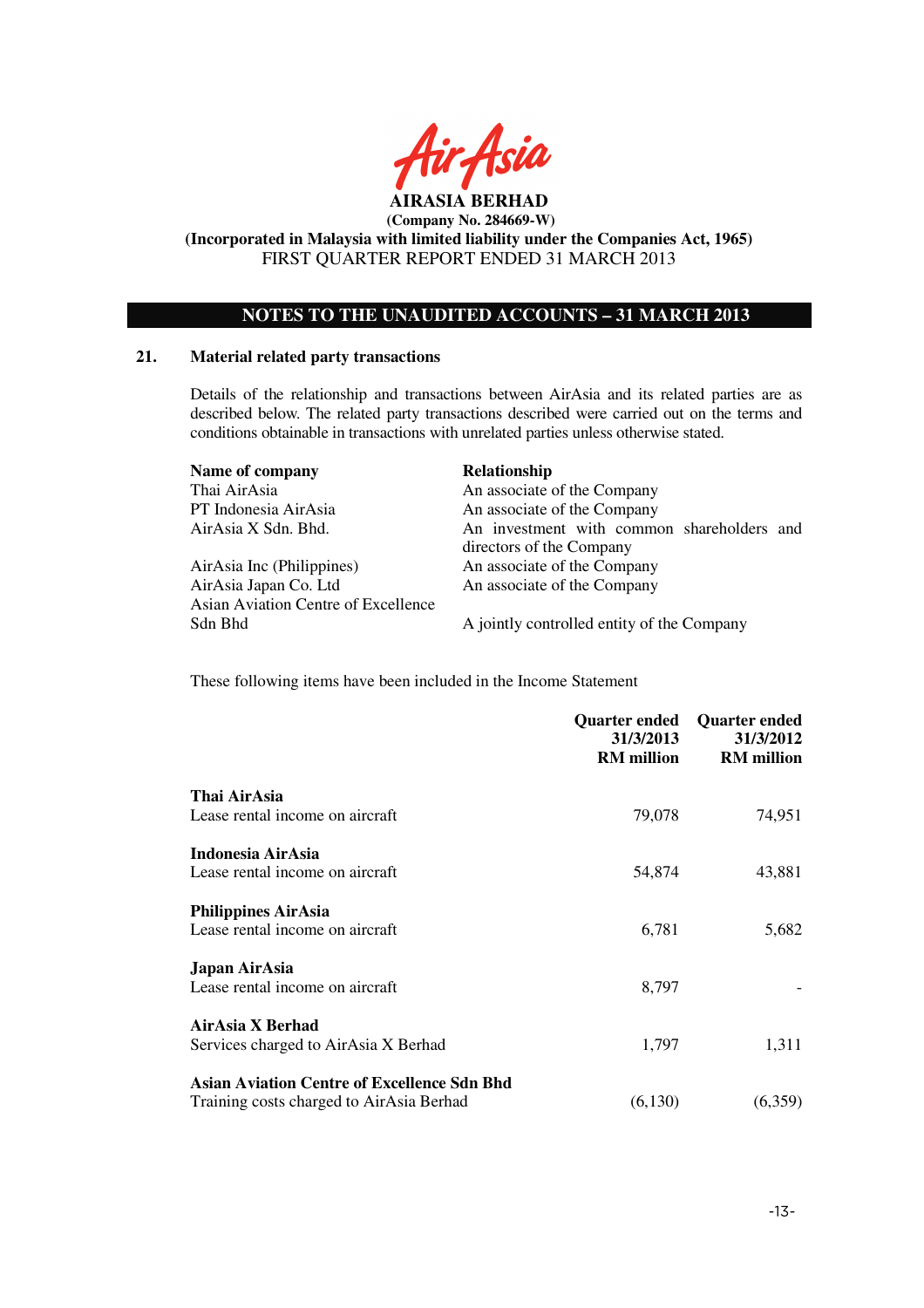

**AIRASIA BERHAD (Company No. 284669-W)** 

**(Incorporated in Malaysia with limited liability under the Companies Act, 1965)**  FIRST QUARTER REPORT ENDED 31 MARCH 2013

# **NOTES TO THE UNAUDITED ACCOUNTS – 31 MARCH 2013**

#### **21. Material related party transactions**

Details of the relationship and transactions between AirAsia and its related parties are as described below. The related party transactions described were carried out on the terms and conditions obtainable in transactions with unrelated parties unless otherwise stated.

| Name of company                     | Relationship                               |
|-------------------------------------|--------------------------------------------|
| Thai AirAsia                        | An associate of the Company                |
| PT Indonesia AirAsia                | An associate of the Company                |
| AirAsia X Sdn. Bhd.                 | An investment with common shareholders and |
|                                     | directors of the Company                   |
| AirAsia Inc (Philippines)           | An associate of the Company                |
| AirAsia Japan Co. Ltd               | An associate of the Company                |
| Asian Aviation Centre of Excellence |                                            |
| Sdn Bhd                             | A jointly controlled entity of the Company |

These following items have been included in the Income Statement

|                                                    | <b>Quarter ended</b><br>31/3/2013<br><b>RM</b> million | <b>Quarter ended</b><br>31/3/2012<br><b>RM</b> million |
|----------------------------------------------------|--------------------------------------------------------|--------------------------------------------------------|
| Thai AirAsia                                       |                                                        |                                                        |
| Lease rental income on aircraft                    | 79,078                                                 | 74,951                                                 |
| Indonesia AirAsia                                  |                                                        |                                                        |
| Lease rental income on aircraft                    | 54,874                                                 | 43,881                                                 |
| <b>Philippines AirAsia</b>                         |                                                        |                                                        |
| Lease rental income on aircraft                    | 6,781                                                  | 5,682                                                  |
| Japan AirAsia                                      |                                                        |                                                        |
| Lease rental income on aircraft                    | 8,797                                                  |                                                        |
| AirAsia X Berhad                                   |                                                        |                                                        |
| Services charged to AirAsia X Berhad               | 1,797                                                  | 1,311                                                  |
| <b>Asian Aviation Centre of Excellence Sdn Bhd</b> |                                                        |                                                        |
| Training costs charged to AirAsia Berhad           | (6,130)                                                | (6,359)                                                |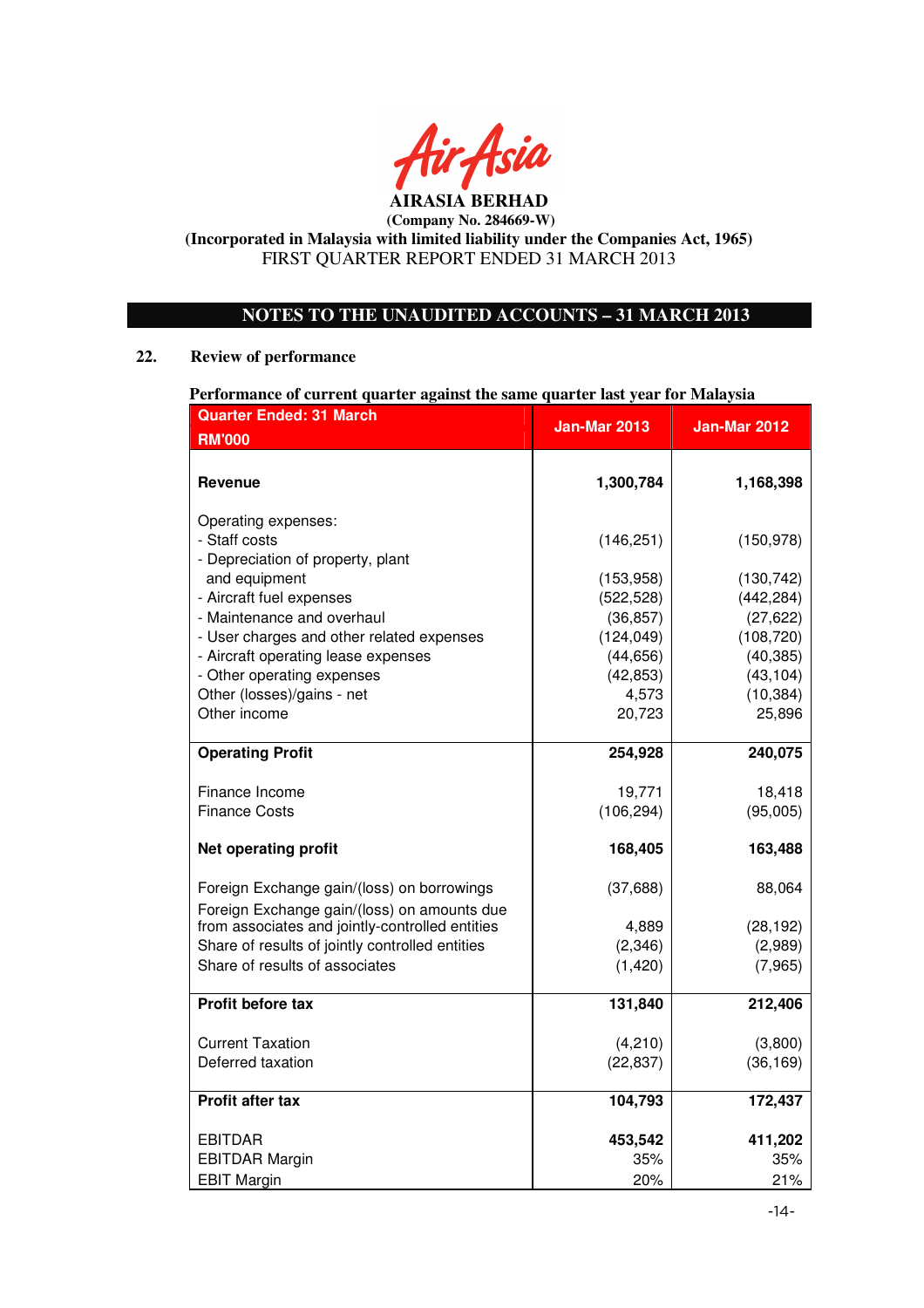

# **NOTES TO THE UNAUDITED ACCOUNTS – 31 MARCH 2013**

## **22. Review of performance**

## **Performance of current quarter against the same quarter last year for Malaysia**

| <b>Quarter Ended: 31 March</b>                                                            | <b>Jan-Mar 2013</b>      | Jan-Mar 2012             |
|-------------------------------------------------------------------------------------------|--------------------------|--------------------------|
| <b>RM'000</b>                                                                             |                          |                          |
| <b>Revenue</b>                                                                            | 1,300,784                | 1,168,398                |
| Operating expenses:<br>- Staff costs<br>- Depreciation of property, plant                 | (146, 251)               | (150, 978)               |
| and equipment<br>- Aircraft fuel expenses                                                 | (153, 958)<br>(522, 528) | (130, 742)<br>(442, 284) |
| - Maintenance and overhaul                                                                | (36, 857)                | (27, 622)                |
| - User charges and other related expenses                                                 | (124, 049)               | (108, 720)               |
| - Aircraft operating lease expenses                                                       | (44, 656)                | (40, 385)                |
| - Other operating expenses                                                                | (42, 853)                | (43, 104)                |
| Other (losses)/gains - net                                                                | 4,573                    | (10, 384)                |
| Other income                                                                              | 20,723                   | 25,896                   |
| <b>Operating Profit</b>                                                                   | 254,928                  | 240,075                  |
| Finance Income                                                                            | 19,771                   | 18,418                   |
| <b>Finance Costs</b>                                                                      | (106, 294)               | (95,005)                 |
| <b>Net operating profit</b>                                                               | 168,405                  | 163,488                  |
| Foreign Exchange gain/(loss) on borrowings<br>Foreign Exchange gain/(loss) on amounts due | (37, 688)                | 88,064                   |
| from associates and jointly-controlled entities                                           | 4,889                    | (28, 192)                |
| Share of results of jointly controlled entities                                           | (2, 346)                 | (2,989)                  |
| Share of results of associates                                                            | (1,420)                  | (7,965)                  |
| <b>Profit before tax</b>                                                                  | 131,840                  | 212,406                  |
| <b>Current Taxation</b>                                                                   | (4,210)                  | (3,800)                  |
| Deferred taxation                                                                         | (22, 837)                | (36, 169)                |
| <b>Profit after tax</b>                                                                   | 104,793                  | 172,437                  |
| <b>EBITDAR</b>                                                                            | 453,542                  | 411,202                  |
| <b>EBITDAR Margin</b>                                                                     | 35%                      | 35%                      |
| <b>EBIT Margin</b>                                                                        | 20%                      | 21%                      |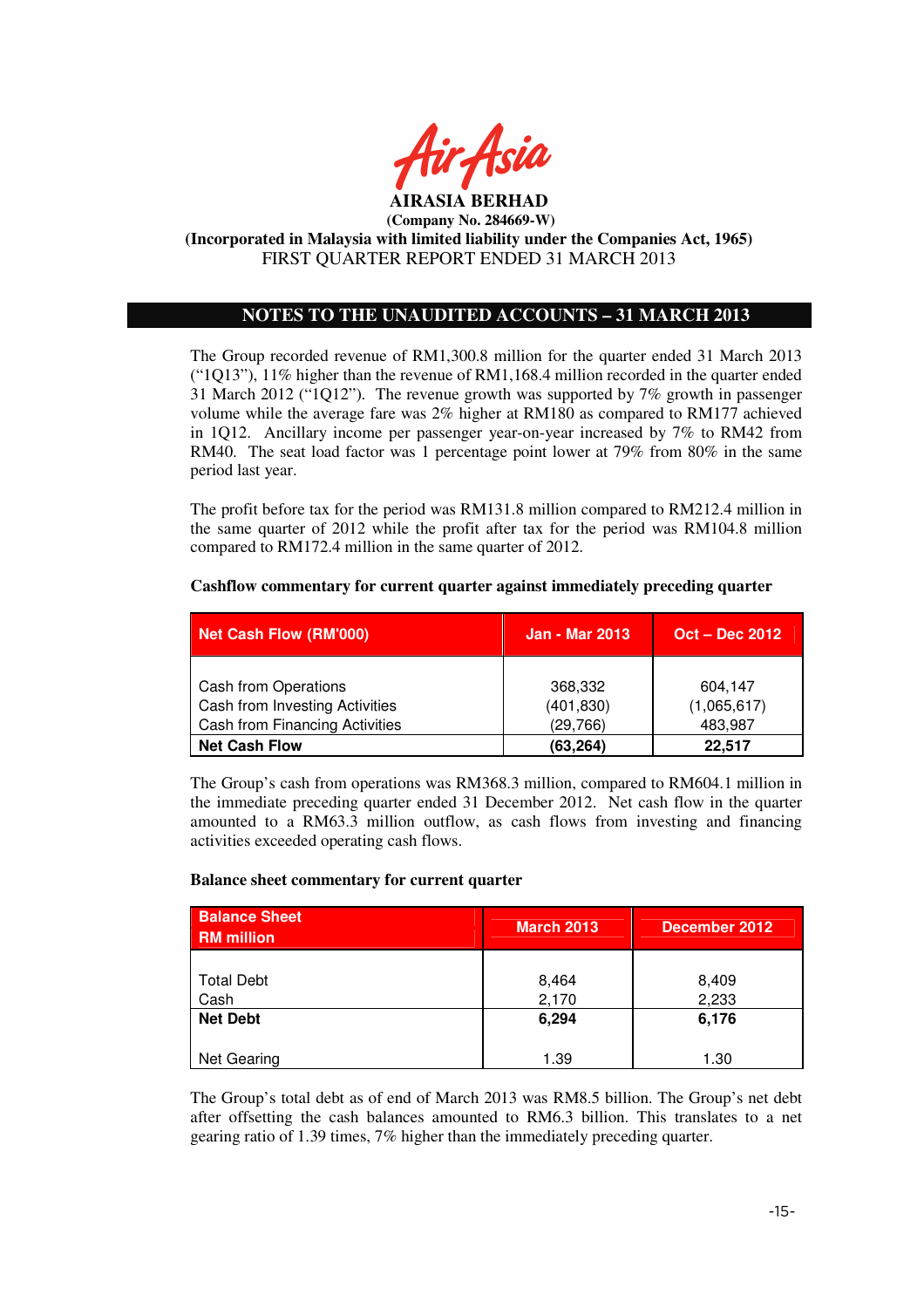

# **NOTES TO THE UNAUDITED ACCOUNTS – 31 MARCH 2013**

The Group recorded revenue of RM1,300.8 million for the quarter ended 31 March 2013 ("1Q13"), 11% higher than the revenue of RM1,168.4 million recorded in the quarter ended 31 March 2012 ("1Q12"). The revenue growth was supported by 7% growth in passenger volume while the average fare was 2% higher at RM180 as compared to RM177 achieved in 1Q12. Ancillary income per passenger year-on-year increased by 7% to RM42 from RM40. The seat load factor was 1 percentage point lower at 79% from 80% in the same period last year.

The profit before tax for the period was RM131.8 million compared to RM212.4 million in the same quarter of 2012 while the profit after tax for the period was RM104.8 million compared to RM172.4 million in the same quarter of 2012.

| Net Cash Flow (RM'000)                                                                          | <b>Jan - Mar 2013</b>             | <b>Oct – Dec 2012</b>             |
|-------------------------------------------------------------------------------------------------|-----------------------------------|-----------------------------------|
| Cash from Operations<br>Cash from Investing Activities<br><b>Cash from Financing Activities</b> | 368,332<br>(401, 830)<br>(29,766) | 604,147<br>(1,065,617)<br>483,987 |
| <b>Net Cash Flow</b>                                                                            | (63, 264)                         | 22,517                            |

#### **Cashflow commentary for current quarter against immediately preceding quarter**

The Group's cash from operations was RM368.3 million, compared to RM604.1 million in the immediate preceding quarter ended 31 December 2012. Net cash flow in the quarter amounted to a RM63.3 million outflow, as cash flows from investing and financing activities exceeded operating cash flows.

## **Balance sheet commentary for current quarter**

| <b>Balance Sheet</b><br><b>RM</b> million | <b>March 2013</b> | December 2012  |
|-------------------------------------------|-------------------|----------------|
| <b>Total Debt</b>                         | 8,464             | 8,409          |
| Cash<br><b>Net Debt</b>                   | 2,170<br>6,294    | 2,233<br>6,176 |
| Net Gearing                               | 1.39              | 1.30           |

The Group's total debt as of end of March 2013 was RM8.5 billion. The Group's net debt after offsetting the cash balances amounted to RM6.3 billion. This translates to a net gearing ratio of 1.39 times, 7% higher than the immediately preceding quarter.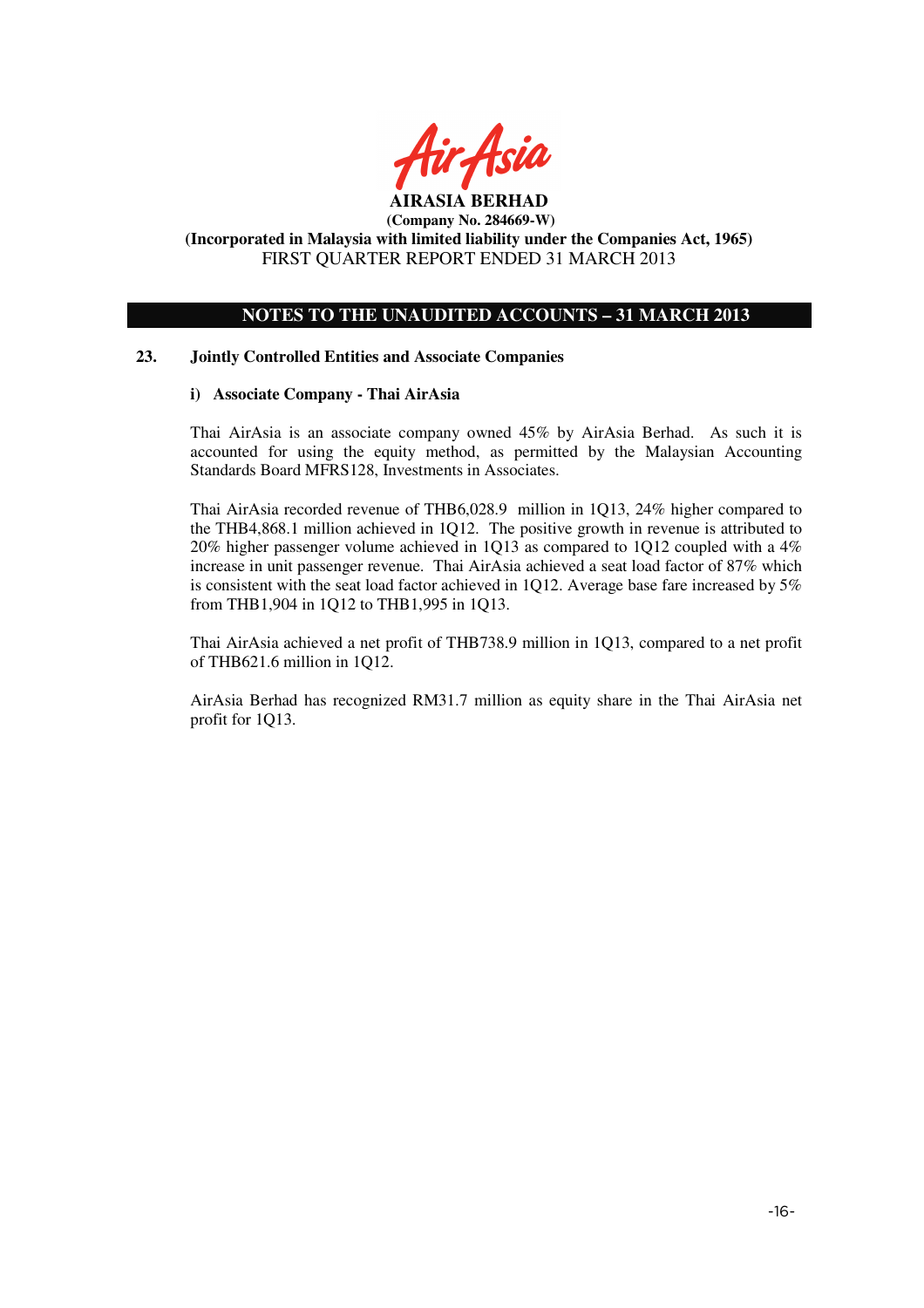

# **NOTES TO THE UNAUDITED ACCOUNTS – 31 MARCH 2013**

## **23. Jointly Controlled Entities and Associate Companies**

## **i) Associate Company - Thai AirAsia**

Thai AirAsia is an associate company owned 45% by AirAsia Berhad. As such it is accounted for using the equity method, as permitted by the Malaysian Accounting Standards Board MFRS128, Investments in Associates.

Thai AirAsia recorded revenue of THB6,028.9 million in 1Q13, 24% higher compared to the THB4,868.1 million achieved in 1Q12. The positive growth in revenue is attributed to 20% higher passenger volume achieved in 1Q13 as compared to 1Q12 coupled with a 4% increase in unit passenger revenue. Thai AirAsia achieved a seat load factor of 87% which is consistent with the seat load factor achieved in 1Q12. Average base fare increased by 5% from THB1,904 in 1Q12 to THB1,995 in 1Q13.

Thai AirAsia achieved a net profit of THB738.9 million in 1Q13, compared to a net profit of THB621.6 million in 1Q12.

AirAsia Berhad has recognized RM31.7 million as equity share in the Thai AirAsia net profit for 1Q13.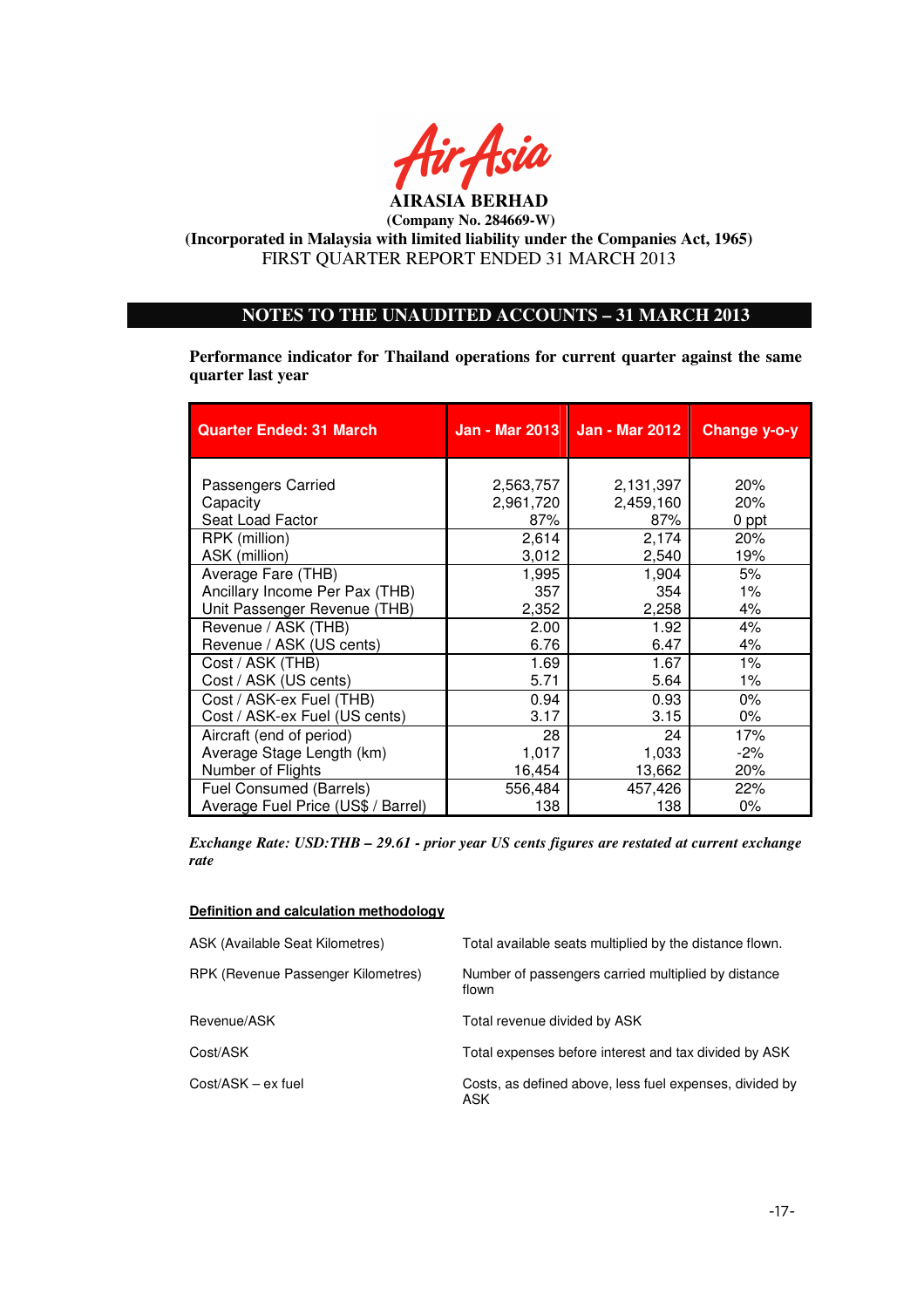

# **NOTES TO THE UNAUDITED ACCOUNTS – 31 MARCH 2013**

**Performance indicator for Thailand operations for current quarter against the same quarter last year** 

| <b>Quarter Ended: 31 March</b>     |           | Jan - Mar 2013   Jan - Mar 2012 | Change y-o-y |
|------------------------------------|-----------|---------------------------------|--------------|
|                                    |           |                                 |              |
| Passengers Carried                 | 2,563,757 | 2,131,397                       | 20%          |
| Capacity                           | 2,961,720 | 2,459,160                       | 20%          |
| Seat Load Factor                   | 87%       | 87%                             | 0 ppt        |
| RPK (million)                      | 2,614     | 2,174                           | 20%          |
| ASK (million)                      | 3,012     | 2,540                           | 19%          |
| Average Fare (THB)                 | 1,995     | 1,904                           | 5%           |
| Ancillary Income Per Pax (THB)     | 357       | 354                             | 1%           |
| Unit Passenger Revenue (THB)       | 2,352     | 2,258                           | 4%           |
| Revenue / ASK (THB)                | 2.00      | 1.92                            | 4%           |
| Revenue / ASK (US cents)           | 6.76      | 6.47                            | 4%           |
| Cost / ASK (THB)                   | 1.69      | 1.67                            | 1%           |
| Cost / ASK (US cents)              | 5.71      | 5.64                            | $1\%$        |
| Cost / ASK-ex Fuel (THB)           | 0.94      | 0.93                            | $0\%$        |
| Cost / ASK-ex Fuel (US cents)      | 3.17      | 3.15                            | $0\%$        |
| Aircraft (end of period)           | 28        | 24                              | 17%          |
| Average Stage Length (km)          | 1,017     | 1,033                           | $-2%$        |
| Number of Flights                  | 16,454    | 13,662                          | 20%          |
| <b>Fuel Consumed (Barrels)</b>     | 556,484   | 457,426                         | 22%          |
| Average Fuel Price (US\$ / Barrel) | 138       | 138                             | $0\%$        |

*Exchange Rate: USD:THB – 29.61 - prior year US cents figures are restated at current exchange rate* 

#### **Definition and calculation methodology**

| ASK (Available Seat Kilometres)    | Total available seats multiplied by the distance flown.        |
|------------------------------------|----------------------------------------------------------------|
| RPK (Revenue Passenger Kilometres) | Number of passengers carried multiplied by distance<br>flown   |
| Revenue/ASK                        | Total revenue divided by ASK                                   |
| Cost/ASK                           | Total expenses before interest and tax divided by ASK          |
| Cost/ASK – ex fuel                 | Costs, as defined above, less fuel expenses, divided by<br>ASK |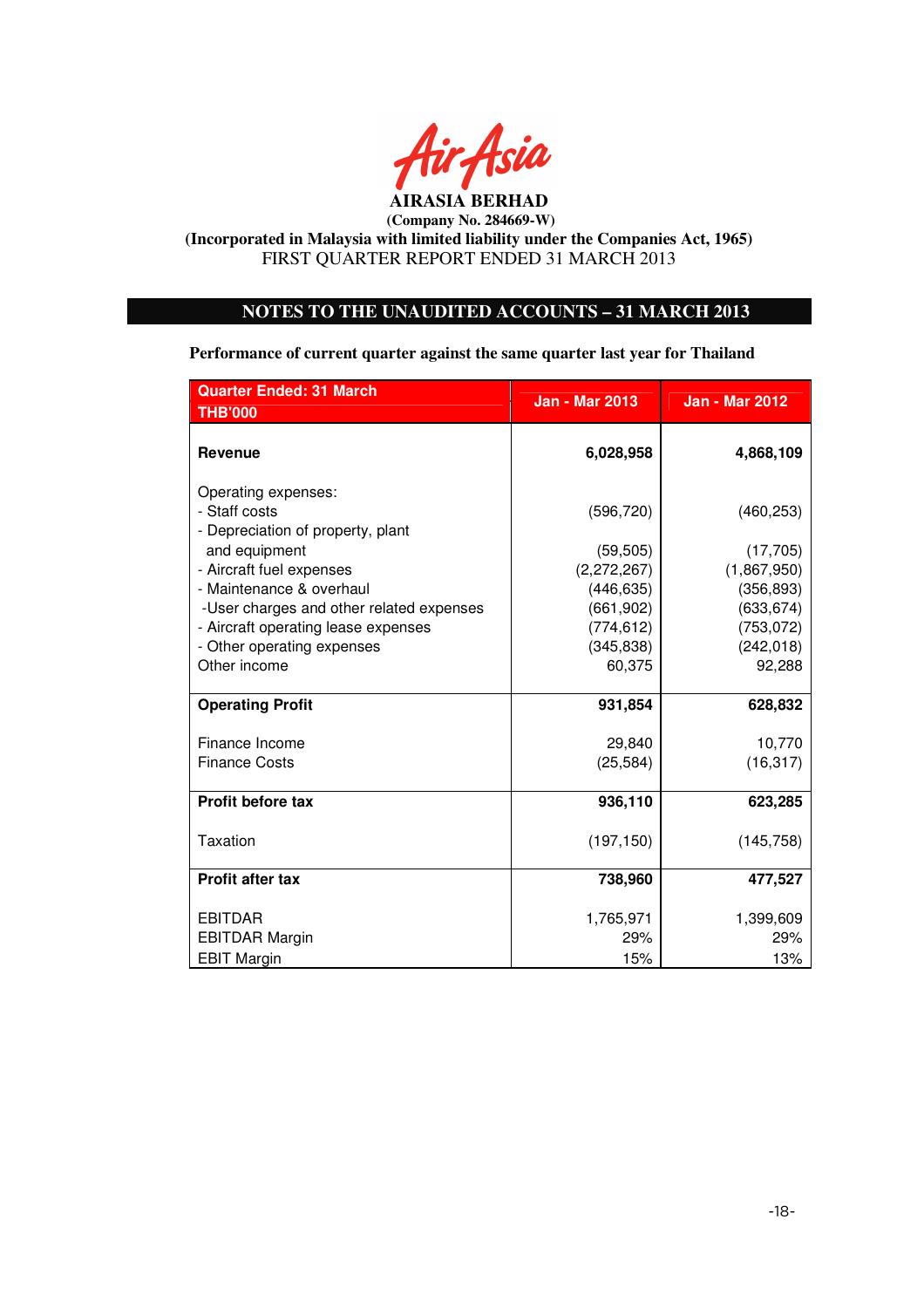

# **NOTES TO THE UNAUDITED ACCOUNTS – 31 MARCH 2013**

**Performance of current quarter against the same quarter last year for Thailand** 

| <b>Quarter Ended: 31 March</b>                                            | <b>Jan - Mar 2013</b> | <b>Jan - Mar 2012</b> |
|---------------------------------------------------------------------------|-----------------------|-----------------------|
| <b>THB'000</b>                                                            |                       |                       |
| <b>Revenue</b>                                                            | 6,028,958             | 4,868,109             |
| Operating expenses:<br>- Staff costs<br>- Depreciation of property, plant | (596, 720)            | (460, 253)            |
| and equipment                                                             | (59, 505)             | (17, 705)             |
| - Aircraft fuel expenses                                                  | (2, 272, 267)         | (1,867,950)           |
| - Maintenance & overhaul                                                  | (446, 635)            | (356, 893)            |
| -User charges and other related expenses                                  | (661, 902)            | (633, 674)            |
| - Aircraft operating lease expenses                                       | (774, 612)            | (753, 072)            |
| - Other operating expenses                                                | (345, 838)            | (242, 018)            |
| Other income                                                              | 60,375                | 92,288                |
| <b>Operating Profit</b>                                                   | 931,854               | 628,832               |
| Finance Income                                                            | 29,840                | 10,770                |
| <b>Finance Costs</b>                                                      | (25, 584)             | (16, 317)             |
| Profit before tax                                                         | 936,110               | 623,285               |
| Taxation                                                                  | (197, 150)            | (145, 758)            |
| <b>Profit after tax</b>                                                   | 738,960               | 477,527               |
| <b>EBITDAR</b>                                                            | 1,765,971             | 1,399,609             |
| <b>EBITDAR Margin</b>                                                     | 29%                   | 29%                   |
| <b>EBIT Margin</b>                                                        | 15%                   | 13%                   |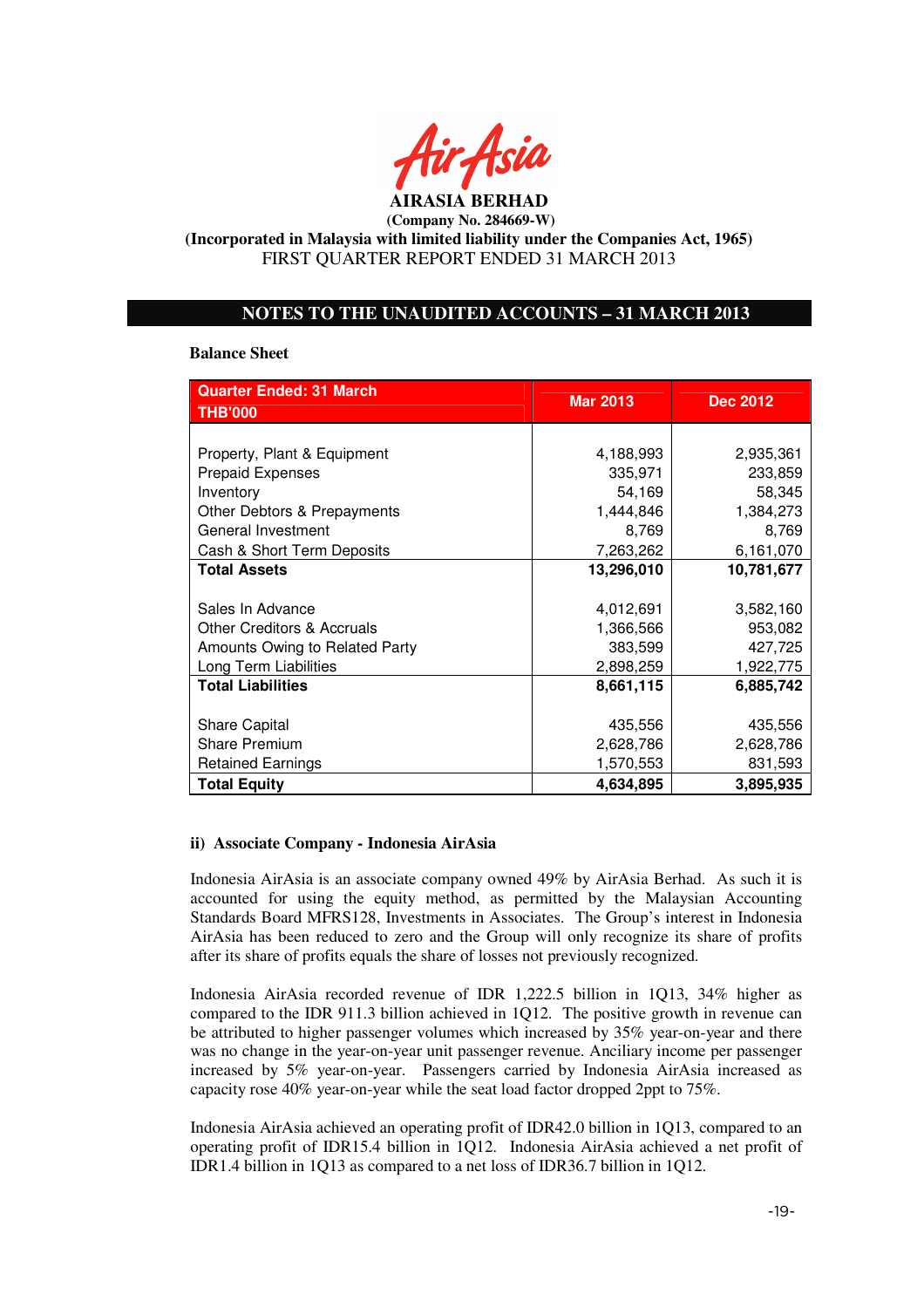

## **NOTES TO THE UNAUDITED ACCOUNTS – 31 MARCH 2013**

#### **Balance Sheet**

| <b>Quarter Ended: 31 March</b>        | <b>Mar 2013</b> | <b>Dec 2012</b> |
|---------------------------------------|-----------------|-----------------|
| <b>THB'000</b>                        |                 |                 |
|                                       |                 |                 |
| Property, Plant & Equipment           | 4,188,993       | 2,935,361       |
| <b>Prepaid Expenses</b>               | 335,971         | 233,859         |
| Inventory                             | 54,169          | 58,345          |
| Other Debtors & Prepayments           | 1,444,846       | 1,384,273       |
| General Investment                    | 8,769           | 8,769           |
| Cash & Short Term Deposits            | 7,263,262       | 6,161,070       |
| <b>Total Assets</b>                   | 13,296,010      | 10,781,677      |
|                                       |                 |                 |
| Sales In Advance                      | 4,012,691       | 3,582,160       |
| <b>Other Creditors &amp; Accruals</b> | 1,366,566       | 953,082         |
| Amounts Owing to Related Party        | 383,599         | 427,725         |
| Long Term Liabilities                 | 2,898,259       | 1,922,775       |
| <b>Total Liabilities</b>              | 8,661,115       | 6,885,742       |
|                                       |                 |                 |
| <b>Share Capital</b>                  | 435,556         | 435,556         |
| <b>Share Premium</b>                  | 2,628,786       | 2,628,786       |
| <b>Retained Earnings</b>              | 1,570,553       | 831,593         |
| <b>Total Equity</b>                   | 4,634,895       | 3,895,935       |

## **ii) Associate Company - Indonesia AirAsia**

Indonesia AirAsia is an associate company owned 49% by AirAsia Berhad. As such it is accounted for using the equity method, as permitted by the Malaysian Accounting Standards Board MFRS128, Investments in Associates. The Group's interest in Indonesia AirAsia has been reduced to zero and the Group will only recognize its share of profits after its share of profits equals the share of losses not previously recognized.

Indonesia AirAsia recorded revenue of IDR 1,222.5 billion in 1Q13, 34% higher as compared to the IDR 911.3 billion achieved in 1Q12. The positive growth in revenue can be attributed to higher passenger volumes which increased by 35% year-on-year and there was no change in the year-on-year unit passenger revenue. Anciliary income per passenger increased by 5% year-on-year. Passengers carried by Indonesia AirAsia increased as capacity rose 40% year-on-year while the seat load factor dropped 2ppt to 75%.

Indonesia AirAsia achieved an operating profit of IDR42.0 billion in 1Q13, compared to an operating profit of IDR15.4 billion in 1Q12. Indonesia AirAsia achieved a net profit of IDR1.4 billion in 1Q13 as compared to a net loss of IDR36.7 billion in 1Q12.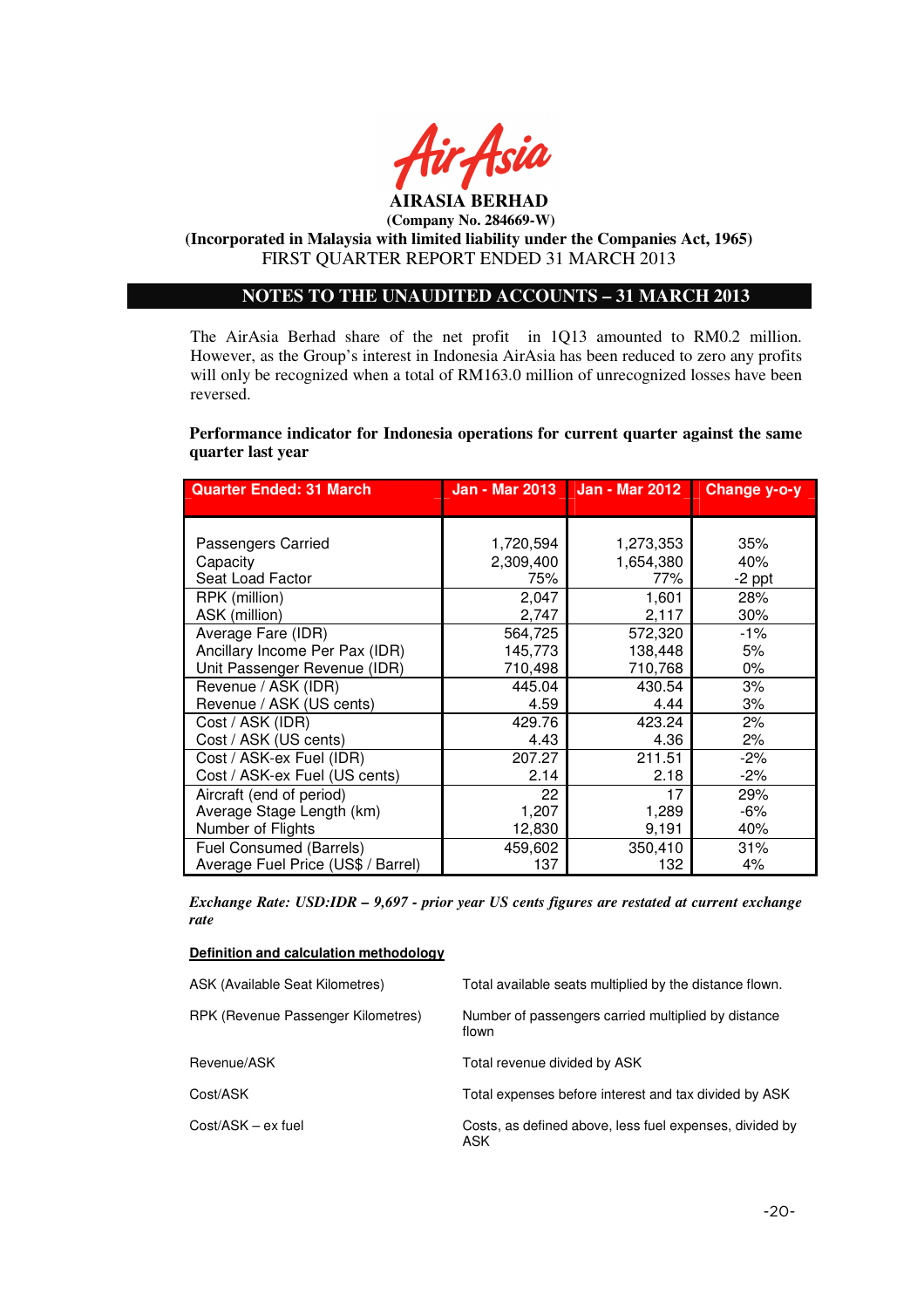

**AIRASIA BERHAD (Company No. 284669-W)** 

# **(Incorporated in Malaysia with limited liability under the Companies Act, 1965)**  FIRST QUARTER REPORT ENDED 31 MARCH 2013

# **NOTES TO THE UNAUDITED ACCOUNTS – 31 MARCH 2013**

The AirAsia Berhad share of the net profit in 1Q13 amounted to RM0.2 million. However, as the Group's interest in Indonesia AirAsia has been reduced to zero any profits will only be recognized when a total of RM163.0 million of unrecognized losses have been reversed.

## **Performance indicator for Indonesia operations for current quarter against the same quarter last year**

| <b>Quarter Ended: 31 March</b>     | <b>Jan - Mar 2013</b> | <b>Jan - Mar 2012</b> | Change y-o-y |
|------------------------------------|-----------------------|-----------------------|--------------|
|                                    |                       |                       |              |
|                                    |                       |                       |              |
| Passengers Carried                 | 1,720,594             | 1,273,353             | 35%          |
| Capacity                           | 2,309,400             | 1,654,380             | 40%          |
| Seat Load Factor                   | 75%                   | 77%                   | $-2$ ppt     |
| RPK (million)                      | 2,047                 | 1,601                 | 28%          |
| ASK (million)                      | 2,747                 | 2,117                 | 30%          |
| Average Fare (IDR)                 | 564,725               | 572,320               | -1%          |
| Ancillary Income Per Pax (IDR)     | 145,773               | 138,448               | 5%           |
| Unit Passenger Revenue (IDR)       | 710,498               | 710,768               | $0\%$        |
| Revenue / ASK (IDR)                | 445.04                | 430.54                | 3%           |
| Revenue / ASK (US cents)           | 4.59                  | 4.44                  | 3%           |
| Cost / ASK (IDR)                   | 429.76                | 423.24                | 2%           |
| Cost / ASK (US cents)              | 4.43                  | 4.36                  | 2%           |
| Cost / ASK-ex Fuel (IDR)           | 207.27                | 211.51                | $-2\%$       |
| Cost / ASK-ex Fuel (US cents)      | 2.14                  | 2.18                  | $-2\%$       |
| Aircraft (end of period)           | 22                    | 17                    | 29%          |
| Average Stage Length (km)          | 1,207                 | 1,289                 | -6%          |
| Number of Flights                  | 12,830                | 9,191                 | 40%          |
| Fuel Consumed (Barrels)            | 459,602               | 350,410               | 31%          |
| Average Fuel Price (US\$ / Barrel) | 137                   | 132                   | 4%           |

*Exchange Rate: USD:IDR – 9,697 - prior year US cents figures are restated at current exchange rate* 

#### **Definition and calculation methodology**

| ASK (Available Seat Kilometres)    | Total available seats multiplied by the distance flown.        |
|------------------------------------|----------------------------------------------------------------|
| RPK (Revenue Passenger Kilometres) | Number of passengers carried multiplied by distance<br>flown   |
| Revenue/ASK                        | Total revenue divided by ASK                                   |
| Cost/ASK                           | Total expenses before interest and tax divided by ASK          |
| $Cost/ASK - ex fuel$               | Costs, as defined above, less fuel expenses, divided by<br>ASK |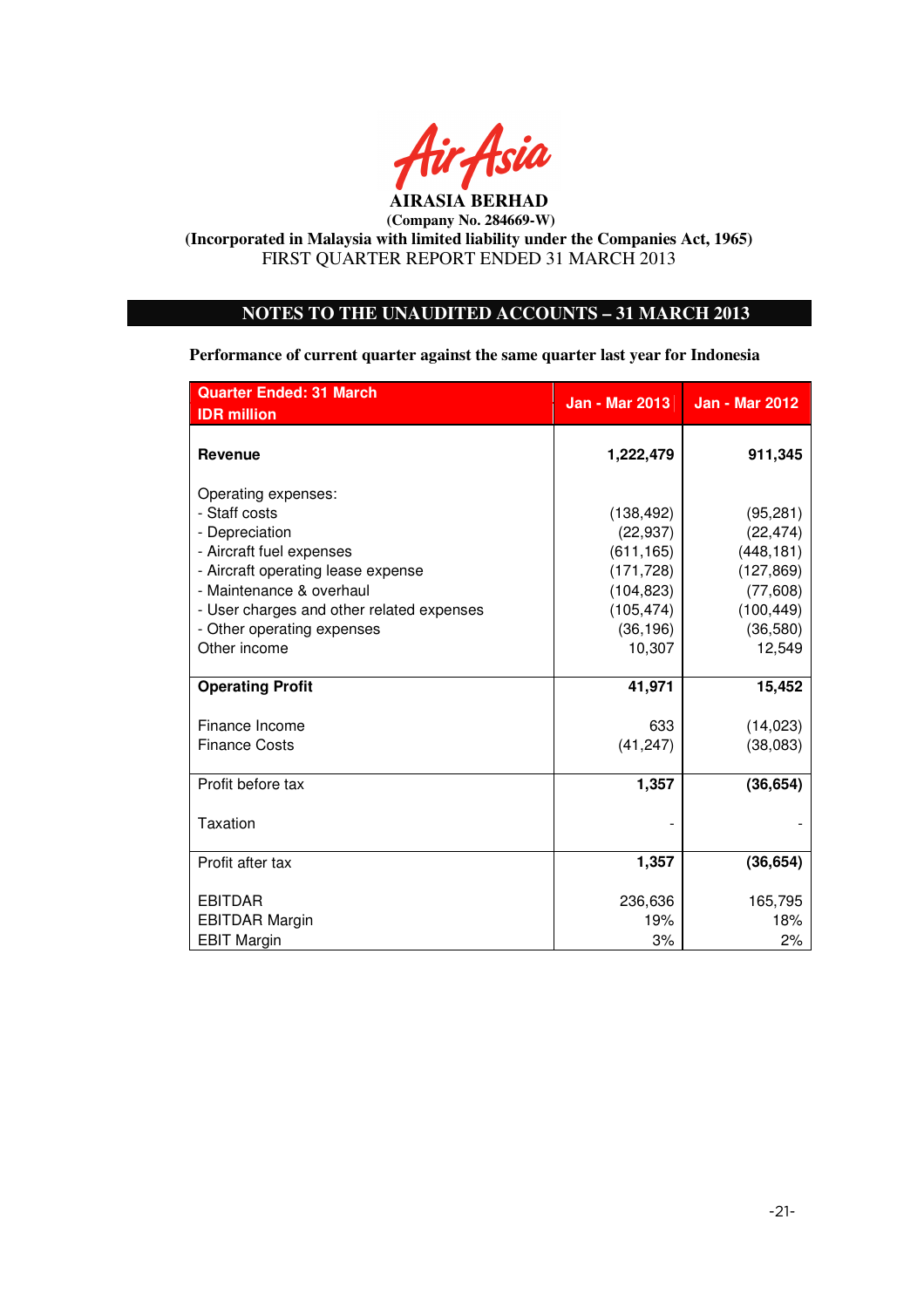

# **NOTES TO THE UNAUDITED ACCOUNTS – 31 MARCH 2013**

**Performance of current quarter against the same quarter last year for Indonesia** 

| <b>Quarter Ended: 31 March</b>            | <b>Jan - Mar 2013</b> | <b>Jan - Mar 2012</b> |
|-------------------------------------------|-----------------------|-----------------------|
| <b>IDR</b> million                        |                       |                       |
| <b>Revenue</b>                            | 1,222,479             | 911,345               |
| Operating expenses:                       |                       |                       |
| - Staff costs                             | (138, 492)            | (95, 281)             |
| - Depreciation                            | (22, 937)             | (22, 474)             |
| - Aircraft fuel expenses                  | (611, 165)            | (448, 181)            |
| - Aircraft operating lease expense        | (171, 728)            | (127, 869)            |
| - Maintenance & overhaul                  | (104, 823)            | (77,608)              |
| - User charges and other related expenses | (105, 474)            | (100, 449)            |
| - Other operating expenses                | (36, 196)             | (36, 580)             |
| Other income                              | 10,307                | 12,549                |
|                                           |                       |                       |
| <b>Operating Profit</b>                   | 41,971                | 15,452                |
| Finance Income                            | 633                   | (14, 023)             |
| <b>Finance Costs</b>                      | (41, 247)             | (38,083)              |
|                                           |                       |                       |
| Profit before tax                         | 1,357                 | (36, 654)             |
| Taxation                                  |                       |                       |
| Profit after tax                          | 1,357                 | (36, 654)             |
|                                           |                       |                       |
| <b>EBITDAR</b>                            | 236,636               | 165,795               |
| <b>EBITDAR Margin</b>                     | 19%                   | 18%                   |
| <b>EBIT Margin</b>                        | 3%                    | 2%                    |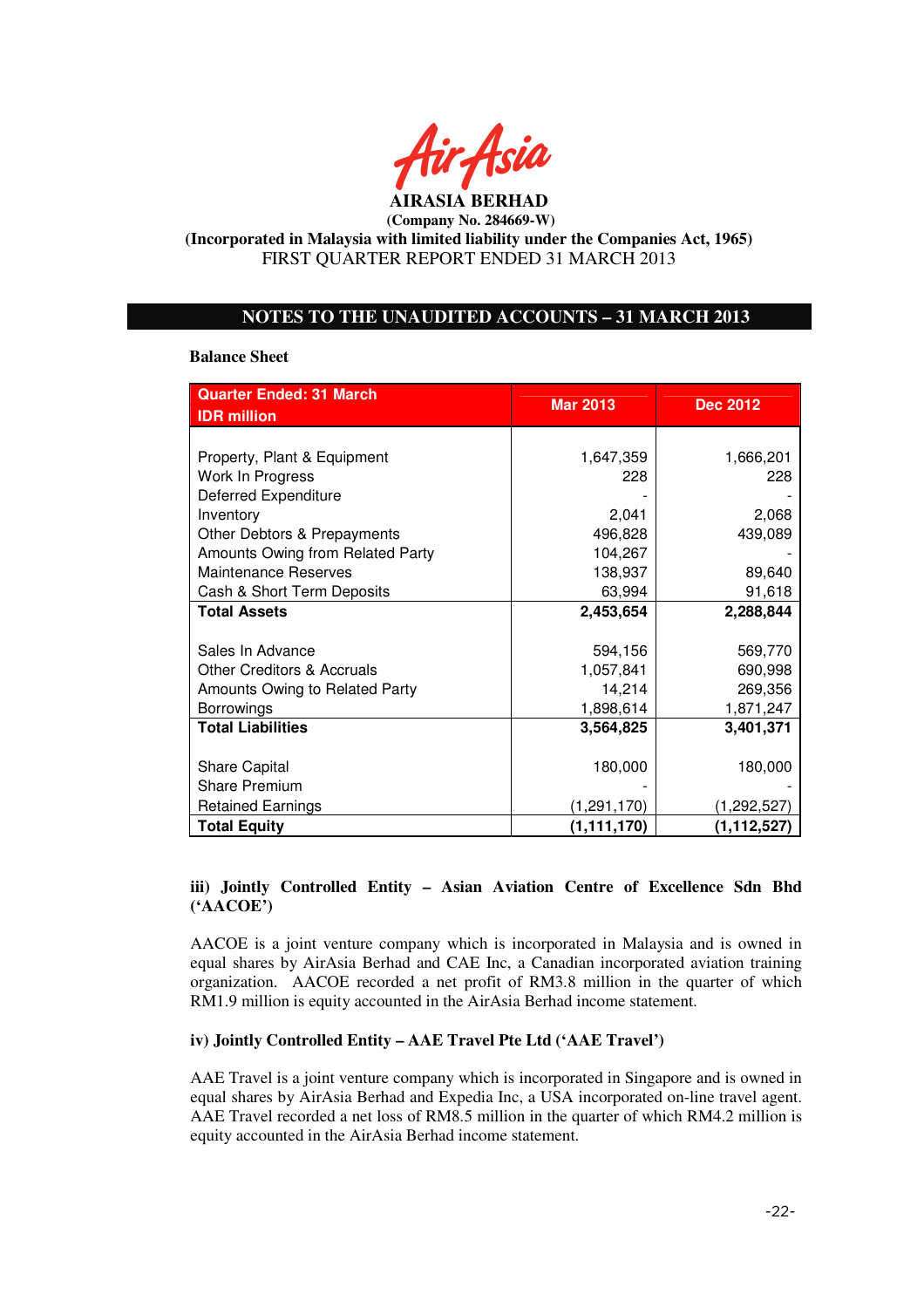

## **NOTES TO THE UNAUDITED ACCOUNTS – 31 MARCH 2013**

#### **Balance Sheet**

| <b>Quarter Ended: 31 March</b>        | <b>Mar 2013</b> | <b>Dec 2012</b> |  |
|---------------------------------------|-----------------|-----------------|--|
| <b>IDR</b> million                    |                 |                 |  |
|                                       |                 |                 |  |
| Property, Plant & Equipment           | 1,647,359       | 1,666,201       |  |
| Work In Progress                      | 228             | 228             |  |
| Deferred Expenditure                  |                 |                 |  |
| Inventory                             | 2,041           | 2,068           |  |
| Other Debtors & Prepayments           | 496,828         | 439,089         |  |
| Amounts Owing from Related Party      | 104,267         |                 |  |
| <b>Maintenance Reserves</b>           | 138,937         | 89,640          |  |
| Cash & Short Term Deposits            | 63,994          | 91,618          |  |
| <b>Total Assets</b>                   | 2,453,654       | 2,288,844       |  |
|                                       |                 |                 |  |
| Sales In Advance                      | 594,156         | 569,770         |  |
| <b>Other Creditors &amp; Accruals</b> | 1,057,841       | 690,998         |  |
| Amounts Owing to Related Party        | 14,214          | 269,356         |  |
| Borrowings                            | 1,898,614       | 1,871,247       |  |
| <b>Total Liabilities</b>              | 3,564,825       | 3,401,371       |  |
|                                       |                 |                 |  |
| <b>Share Capital</b>                  | 180,000         | 180,000         |  |
| <b>Share Premium</b>                  |                 |                 |  |
| <b>Retained Earnings</b>              | (1, 291, 170)   | (1,292,527)     |  |
| <b>Total Equity</b>                   | (1, 111, 170)   | (1, 112, 527)   |  |

## **iii) Jointly Controlled Entity – Asian Aviation Centre of Excellence Sdn Bhd ('AACOE')**

AACOE is a joint venture company which is incorporated in Malaysia and is owned in equal shares by AirAsia Berhad and CAE Inc, a Canadian incorporated aviation training organization. AACOE recorded a net profit of RM3.8 million in the quarter of which RM1.9 million is equity accounted in the AirAsia Berhad income statement.

#### **iv) Jointly Controlled Entity – AAE Travel Pte Ltd ('AAE Travel')**

AAE Travel is a joint venture company which is incorporated in Singapore and is owned in equal shares by AirAsia Berhad and Expedia Inc, a USA incorporated on-line travel agent. AAE Travel recorded a net loss of RM8.5 million in the quarter of which RM4.2 million is equity accounted in the AirAsia Berhad income statement.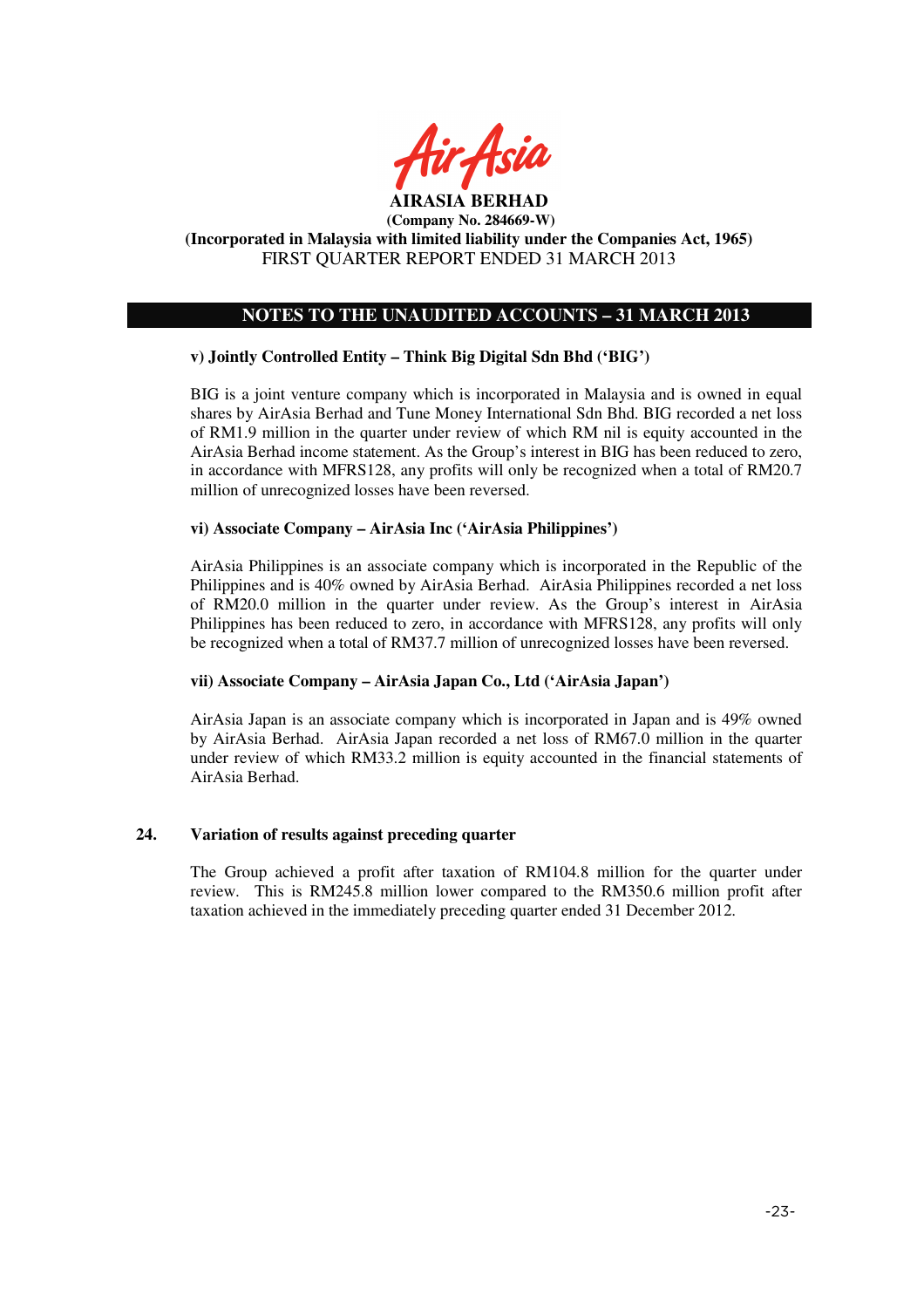

# **NOTES TO THE UNAUDITED ACCOUNTS – 31 MARCH 2013**

## **v) Jointly Controlled Entity – Think Big Digital Sdn Bhd ('BIG')**

BIG is a joint venture company which is incorporated in Malaysia and is owned in equal shares by AirAsia Berhad and Tune Money International Sdn Bhd. BIG recorded a net loss of RM1.9 million in the quarter under review of which RM nil is equity accounted in the AirAsia Berhad income statement. As the Group's interest in BIG has been reduced to zero, in accordance with MFRS128, any profits will only be recognized when a total of RM20.7 million of unrecognized losses have been reversed.

## **vi) Associate Company – AirAsia Inc ('AirAsia Philippines')**

AirAsia Philippines is an associate company which is incorporated in the Republic of the Philippines and is 40% owned by AirAsia Berhad. AirAsia Philippines recorded a net loss of RM20.0 million in the quarter under review. As the Group's interest in AirAsia Philippines has been reduced to zero, in accordance with MFRS128, any profits will only be recognized when a total of RM37.7 million of unrecognized losses have been reversed.

## **vii) Associate Company – AirAsia Japan Co., Ltd ('AirAsia Japan')**

AirAsia Japan is an associate company which is incorporated in Japan and is 49% owned by AirAsia Berhad. AirAsia Japan recorded a net loss of RM67.0 million in the quarter under review of which RM33.2 million is equity accounted in the financial statements of AirAsia Berhad.

## **24. Variation of results against preceding quarter**

The Group achieved a profit after taxation of RM104.8 million for the quarter under review. This is RM245.8 million lower compared to the RM350.6 million profit after taxation achieved in the immediately preceding quarter ended 31 December 2012.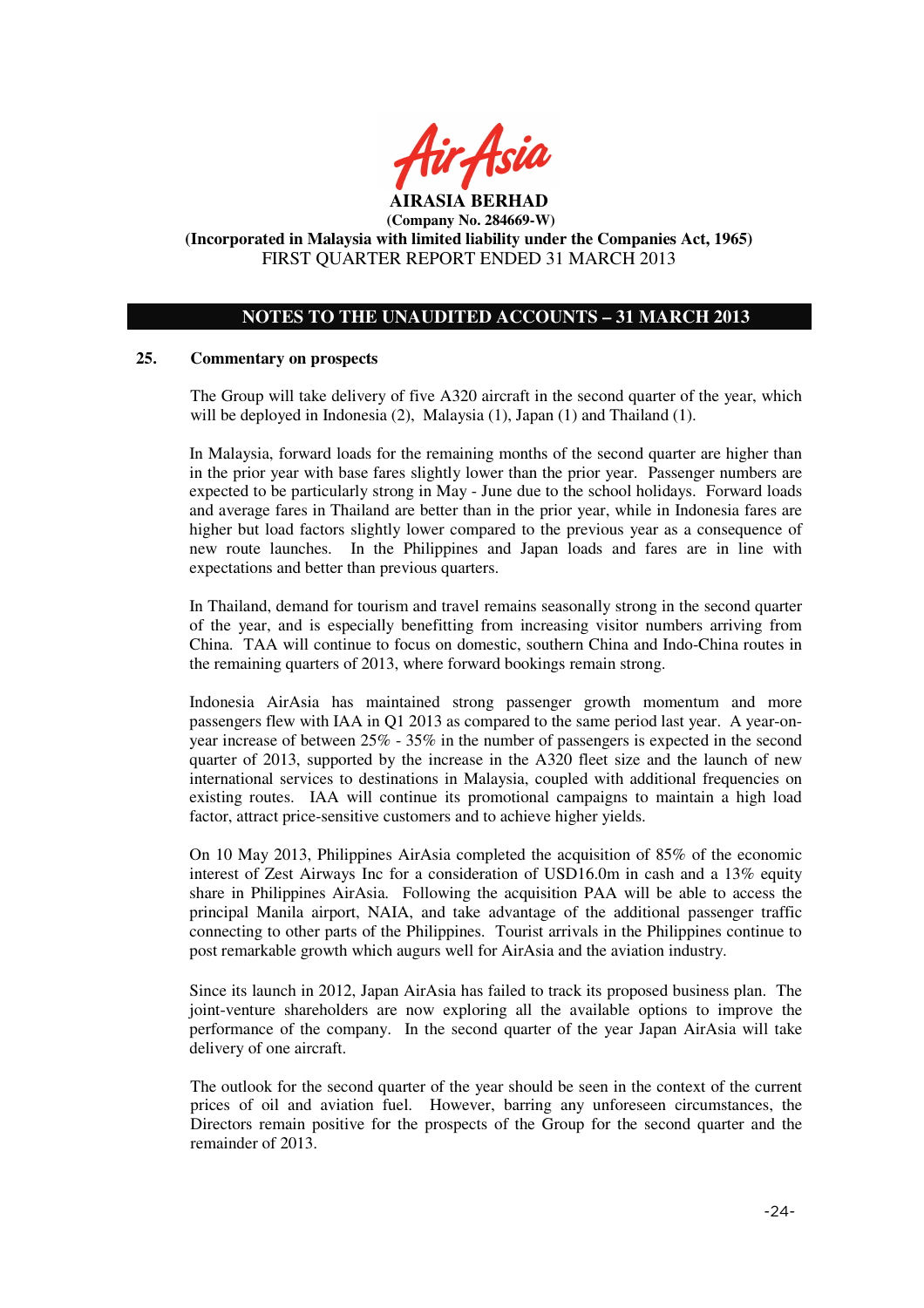

# **NOTES TO THE UNAUDITED ACCOUNTS – 31 MARCH 2013**

#### **25. Commentary on prospects**

The Group will take delivery of five A320 aircraft in the second quarter of the year, which will be deployed in Indonesia (2), Malaysia (1), Japan (1) and Thailand (1).

In Malaysia, forward loads for the remaining months of the second quarter are higher than in the prior year with base fares slightly lower than the prior year. Passenger numbers are expected to be particularly strong in May - June due to the school holidays. Forward loads and average fares in Thailand are better than in the prior year, while in Indonesia fares are higher but load factors slightly lower compared to the previous year as a consequence of new route launches. In the Philippines and Japan loads and fares are in line with expectations and better than previous quarters.

In Thailand, demand for tourism and travel remains seasonally strong in the second quarter of the year, and is especially benefitting from increasing visitor numbers arriving from China. TAA will continue to focus on domestic, southern China and Indo-China routes in the remaining quarters of 2013, where forward bookings remain strong.

Indonesia AirAsia has maintained strong passenger growth momentum and more passengers flew with IAA in Q1 2013 as compared to the same period last year. A year-onyear increase of between 25% - 35% in the number of passengers is expected in the second quarter of 2013, supported by the increase in the A320 fleet size and the launch of new international services to destinations in Malaysia, coupled with additional frequencies on existing routes. IAA will continue its promotional campaigns to maintain a high load factor, attract price-sensitive customers and to achieve higher yields.

On 10 May 2013, Philippines AirAsia completed the acquisition of 85% of the economic interest of Zest Airways Inc for a consideration of USD16.0m in cash and a 13% equity share in Philippines AirAsia. Following the acquisition PAA will be able to access the principal Manila airport, NAIA, and take advantage of the additional passenger traffic connecting to other parts of the Philippines. Tourist arrivals in the Philippines continue to post remarkable growth which augurs well for AirAsia and the aviation industry.

Since its launch in 2012, Japan AirAsia has failed to track its proposed business plan. The joint-venture shareholders are now exploring all the available options to improve the performance of the company. In the second quarter of the year Japan AirAsia will take delivery of one aircraft.

The outlook for the second quarter of the year should be seen in the context of the current prices of oil and aviation fuel. However, barring any unforeseen circumstances, the Directors remain positive for the prospects of the Group for the second quarter and the remainder of 2013.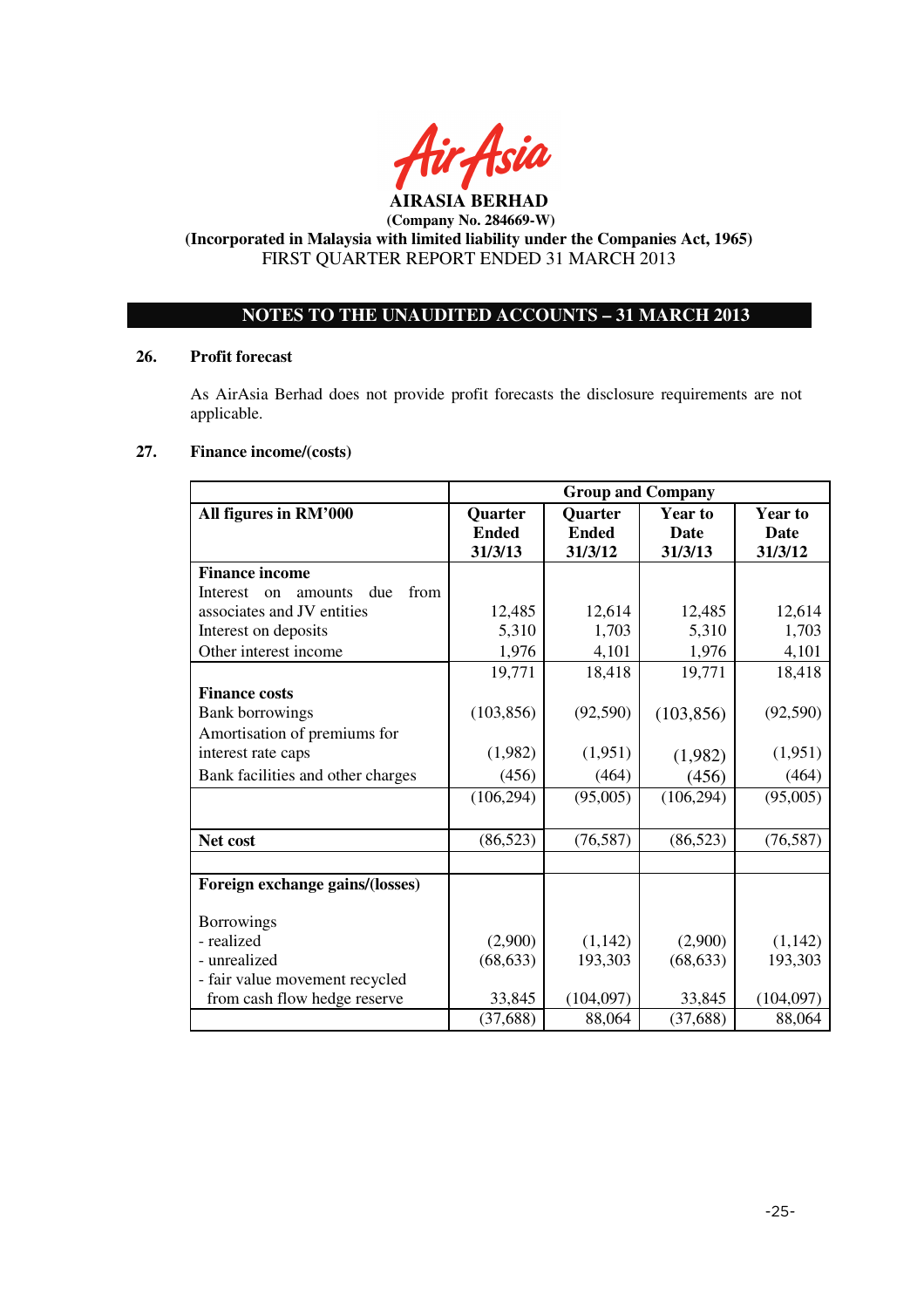

## **AIRASIA BERHAD (Company No. 284669-W)**

# **(Incorporated in Malaysia with limited liability under the Companies Act, 1965)**  FIRST QUARTER REPORT ENDED 31 MARCH 2013

# **NOTES TO THE UNAUDITED ACCOUNTS – 31 MARCH 2013**

## **26. Profit forecast**

As AirAsia Berhad does not provide profit forecasts the disclosure requirements are not applicable.

# **27. Finance income/(costs)**

|                                                     | <b>Group and Company</b> |                |                |                |
|-----------------------------------------------------|--------------------------|----------------|----------------|----------------|
| All figures in RM'000                               | <b>Quarter</b>           | <b>Quarter</b> | <b>Year to</b> | <b>Year to</b> |
|                                                     | <b>Ended</b>             | <b>Ended</b>   | <b>Date</b>    | <b>Date</b>    |
|                                                     | 31/3/13                  | 31/3/12        | 31/3/13        | 31/3/12        |
| <b>Finance income</b>                               |                          |                |                |                |
| from<br>due<br>Interest<br>amounts<br><sub>on</sub> |                          |                |                |                |
| associates and JV entities                          | 12,485                   | 12,614         | 12,485         | 12,614         |
| Interest on deposits                                | 5,310                    | 1,703          | 5,310          | 1,703          |
| Other interest income                               | 1,976                    | 4,101          | 1,976          | 4,101          |
|                                                     | 19,771                   | 18,418         | 19,771         | 18,418         |
| <b>Finance costs</b>                                |                          |                |                |                |
| <b>Bank borrowings</b>                              | (103, 856)               | (92, 590)      | (103, 856)     | (92, 590)      |
| Amortisation of premiums for                        |                          |                |                |                |
| interest rate caps                                  | (1,982)                  | (1,951)        | (1,982)        | (1,951)        |
| Bank facilities and other charges                   | (456)                    | (464)          | (456)          | (464)          |
|                                                     | (106, 294)               | (95,005)       | (106, 294)     | (95,005)       |
|                                                     |                          |                |                |                |
| Net cost                                            | (86, 523)                | (76, 587)      | (86, 523)      | (76, 587)      |
|                                                     |                          |                |                |                |
| Foreign exchange gains/(losses)                     |                          |                |                |                |
| <b>Borrowings</b>                                   |                          |                |                |                |
| - realized                                          | (2,900)                  | (1, 142)       | (2,900)        | (1,142)        |
| - unrealized                                        | (68, 633)                | 193,303        | (68, 633)      | 193,303        |
| - fair value movement recycled                      |                          |                |                |                |
| from cash flow hedge reserve                        | 33,845                   | (104,097)      | 33,845         | (104, 097)     |
|                                                     | (37, 688)                | 88,064         | (37, 688)      | 88,064         |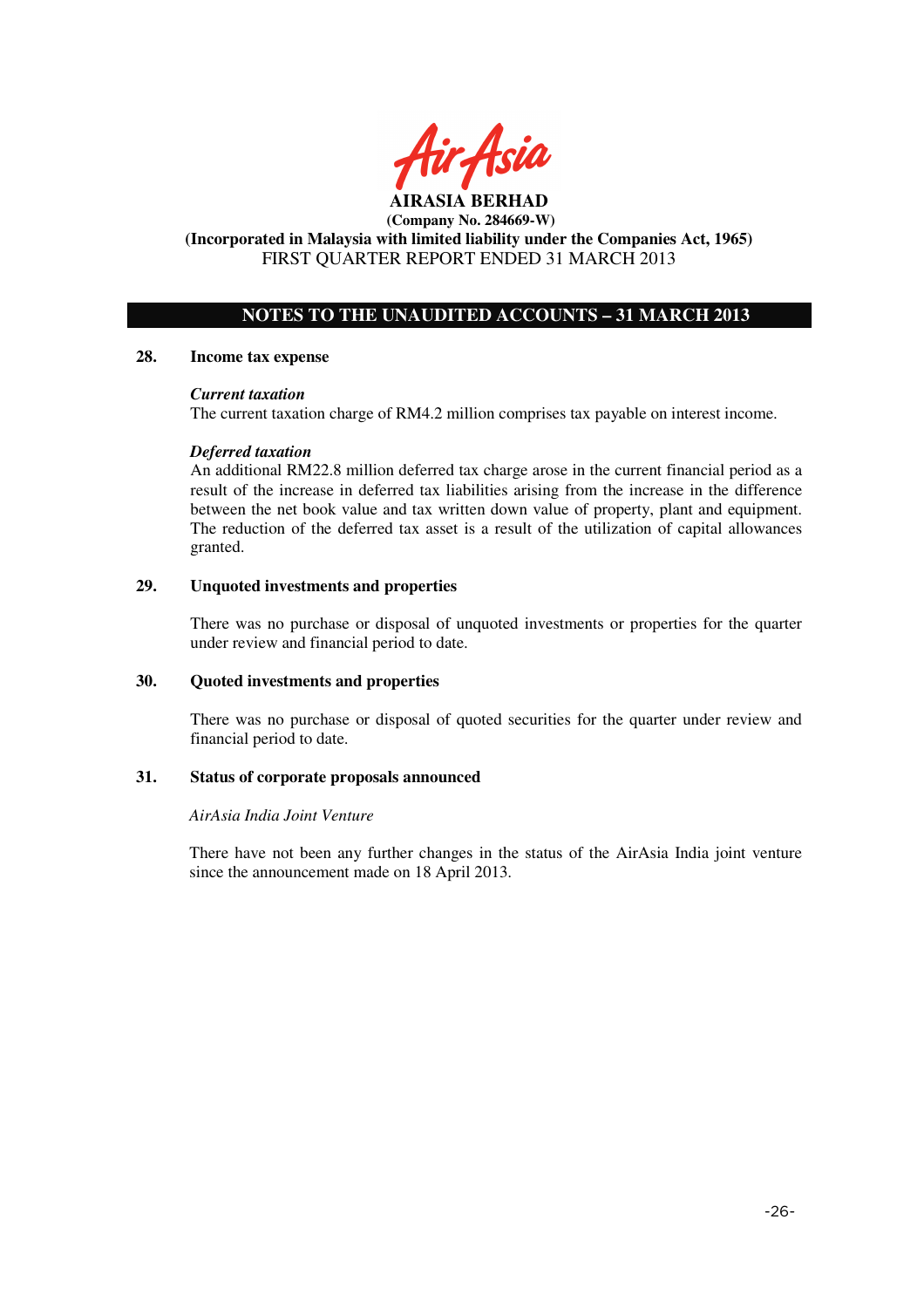

# **NOTES TO THE UNAUDITED ACCOUNTS – 31 MARCH 2013**

#### **28. Income tax expense**

#### *Current taxation*

The current taxation charge of RM4.2 million comprises tax payable on interest income.

#### *Deferred taxation*

An additional RM22.8 million deferred tax charge arose in the current financial period as a result of the increase in deferred tax liabilities arising from the increase in the difference between the net book value and tax written down value of property, plant and equipment. The reduction of the deferred tax asset is a result of the utilization of capital allowances granted.

## **29. Unquoted investments and properties**

There was no purchase or disposal of unquoted investments or properties for the quarter under review and financial period to date.

#### **30. Quoted investments and properties**

There was no purchase or disposal of quoted securities for the quarter under review and financial period to date.

## **31. Status of corporate proposals announced**

#### *AirAsia India Joint Venture*

There have not been any further changes in the status of the AirAsia India joint venture since the announcement made on 18 April 2013.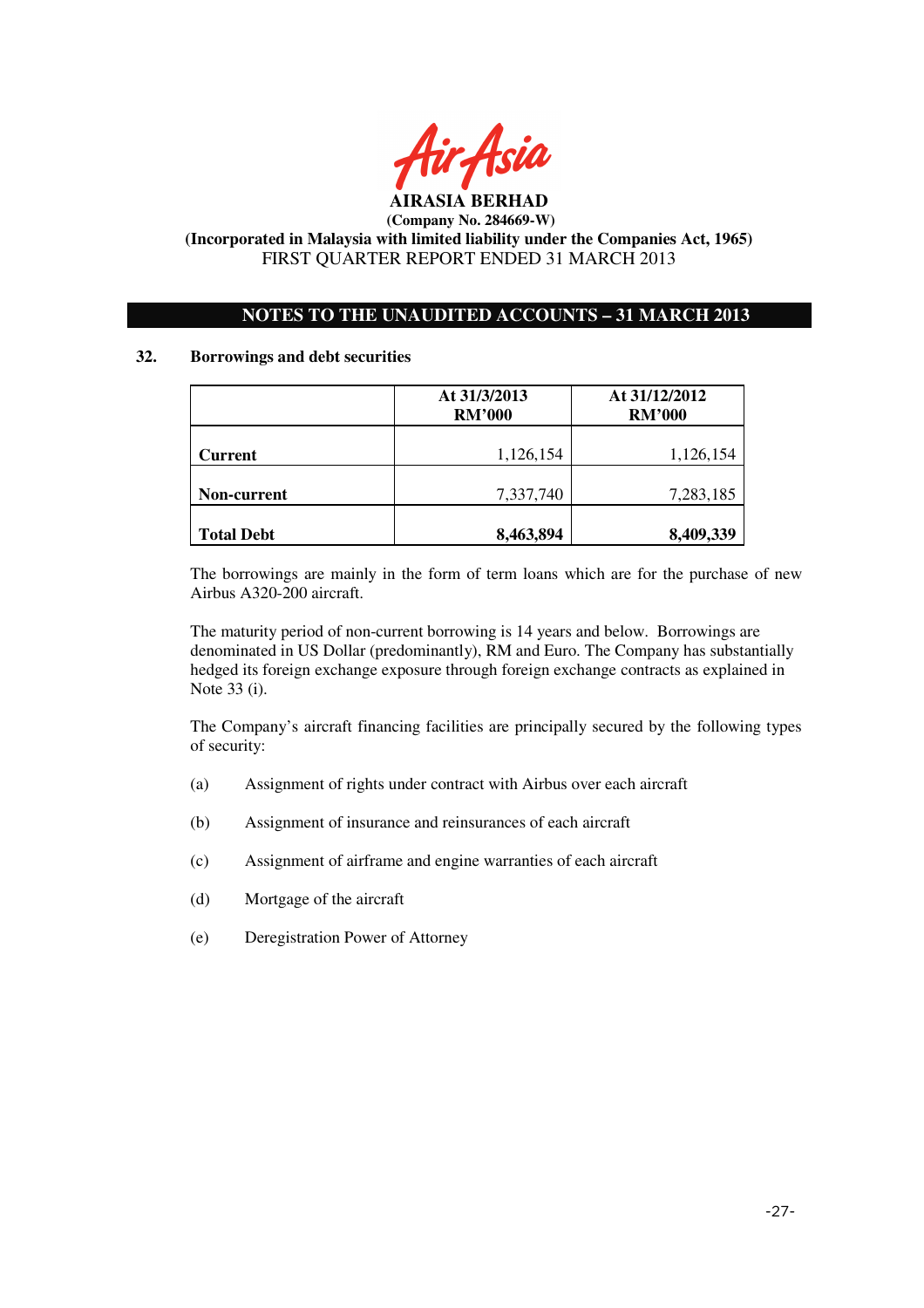

# **NOTES TO THE UNAUDITED ACCOUNTS – 31 MARCH 2013**

## **32. Borrowings and debt securities**

|                   | At 31/3/2013<br><b>RM'000</b> | At 31/12/2012<br><b>RM'000</b> |  |
|-------------------|-------------------------------|--------------------------------|--|
| <b>Current</b>    | 1,126,154                     | 1,126,154                      |  |
| Non-current       | 7,337,740                     | 7,283,185                      |  |
| <b>Total Debt</b> | 8,463,894                     | 8,409,339                      |  |

The borrowings are mainly in the form of term loans which are for the purchase of new Airbus A320-200 aircraft.

The maturity period of non-current borrowing is 14 years and below. Borrowings are denominated in US Dollar (predominantly), RM and Euro. The Company has substantially hedged its foreign exchange exposure through foreign exchange contracts as explained in Note 33 (i).

The Company's aircraft financing facilities are principally secured by the following types of security:

- (a) Assignment of rights under contract with Airbus over each aircraft
- (b) Assignment of insurance and reinsurances of each aircraft
- (c) Assignment of airframe and engine warranties of each aircraft
- (d) Mortgage of the aircraft
- (e) Deregistration Power of Attorney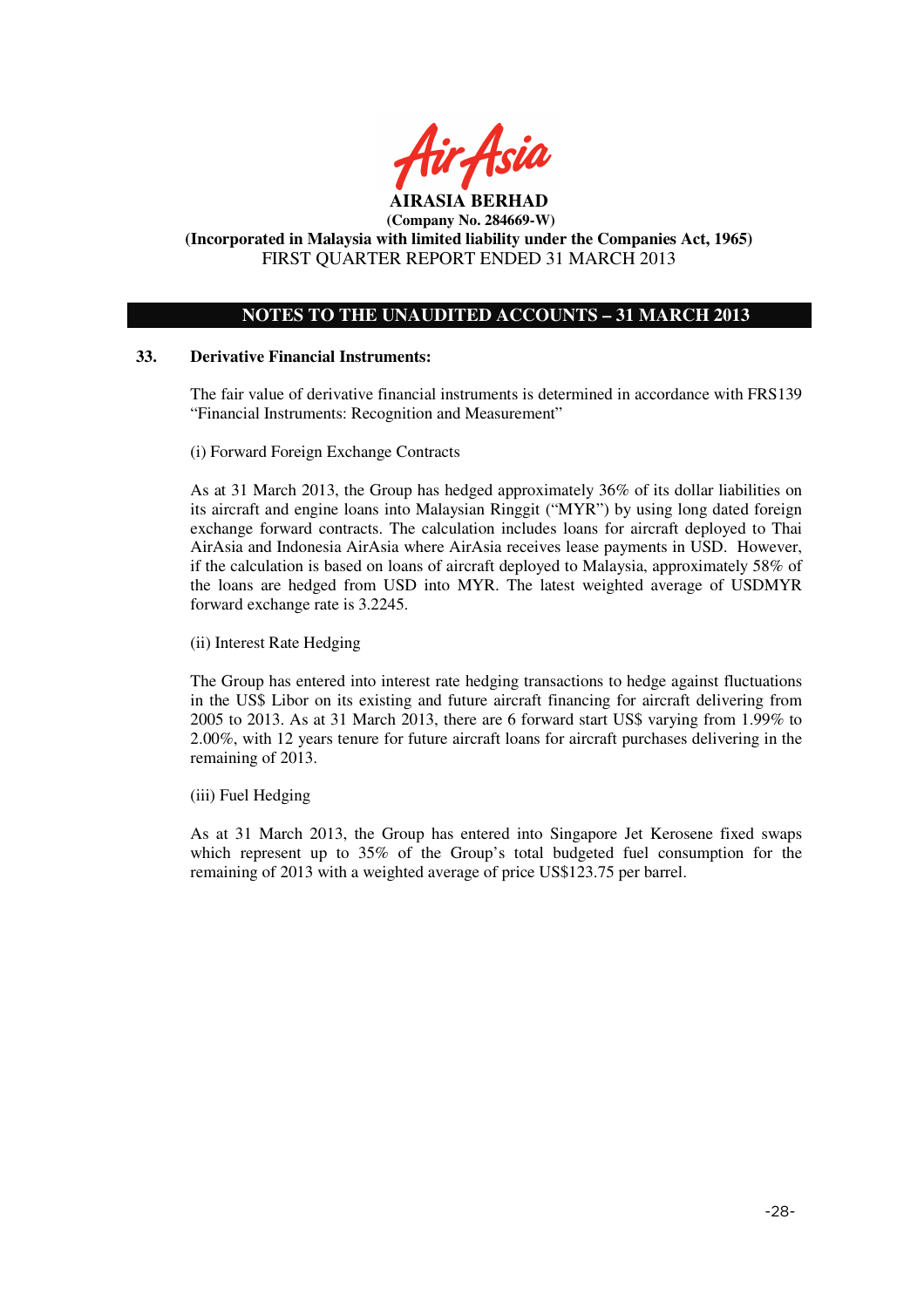

# **NOTES TO THE UNAUDITED ACCOUNTS – 31 MARCH 2013**

## **33. Derivative Financial Instruments:**

The fair value of derivative financial instruments is determined in accordance with FRS139 "Financial Instruments: Recognition and Measurement"

(i) Forward Foreign Exchange Contracts

As at 31 March 2013, the Group has hedged approximately 36% of its dollar liabilities on its aircraft and engine loans into Malaysian Ringgit ("MYR") by using long dated foreign exchange forward contracts. The calculation includes loans for aircraft deployed to Thai AirAsia and Indonesia AirAsia where AirAsia receives lease payments in USD. However, if the calculation is based on loans of aircraft deployed to Malaysia, approximately 58% of the loans are hedged from USD into MYR. The latest weighted average of USDMYR forward exchange rate is 3.2245.

(ii) Interest Rate Hedging

The Group has entered into interest rate hedging transactions to hedge against fluctuations in the US\$ Libor on its existing and future aircraft financing for aircraft delivering from 2005 to 2013. As at 31 March 2013, there are 6 forward start US\$ varying from 1.99% to 2.00%, with 12 years tenure for future aircraft loans for aircraft purchases delivering in the remaining of 2013.

(iii) Fuel Hedging

As at 31 March 2013, the Group has entered into Singapore Jet Kerosene fixed swaps which represent up to 35% of the Group's total budgeted fuel consumption for the remaining of 2013 with a weighted average of price US\$123.75 per barrel.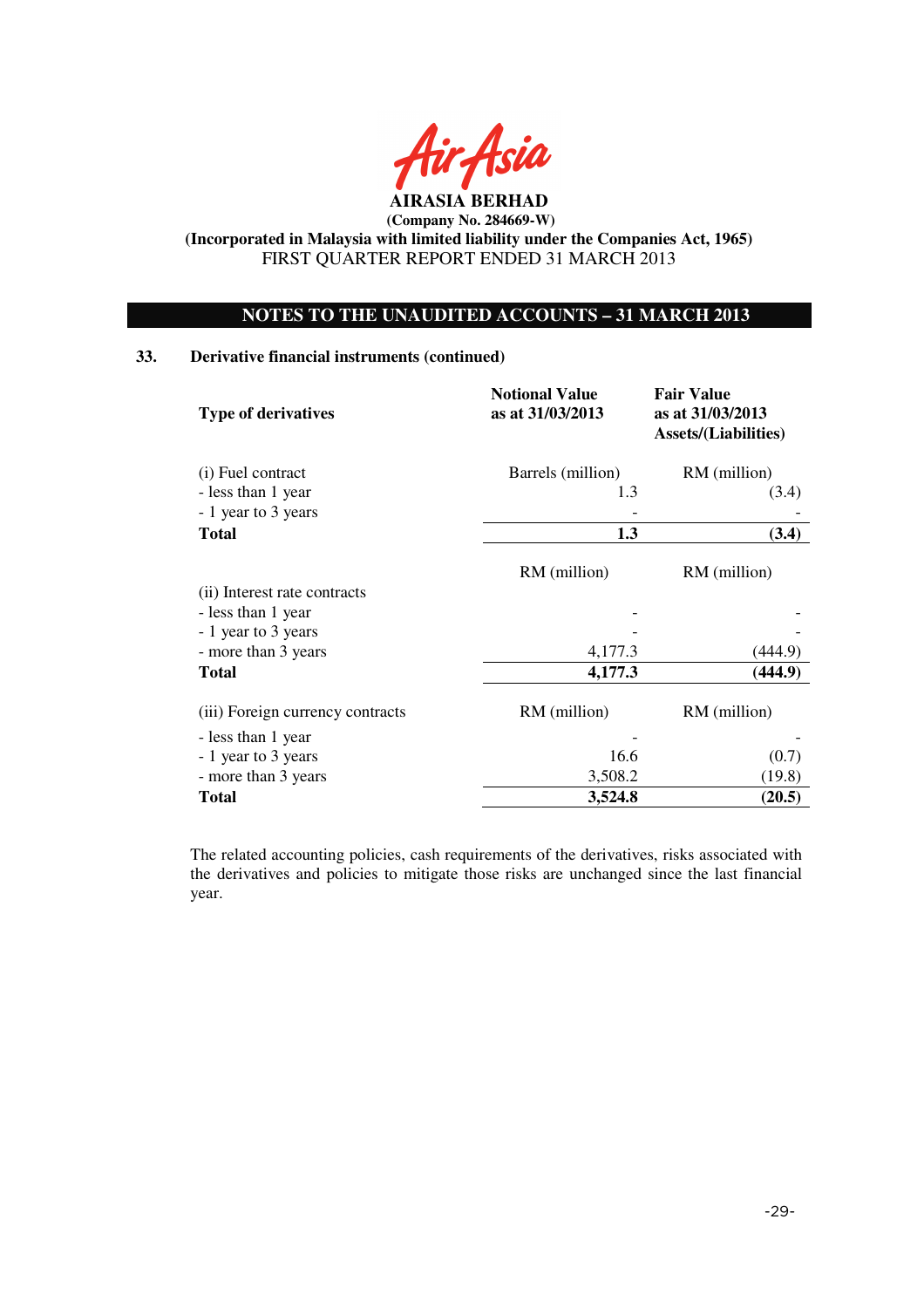

# **NOTES TO THE UNAUDITED ACCOUNTS – 31 MARCH 2013**

# **33. Derivative financial instruments (continued)**

| <b>Type of derivatives</b>                | <b>Notional Value</b><br>as at 31/03/2013 | <b>Fair Value</b><br>as at 31/03/2013<br><b>Assets/(Liabilities)</b><br>RM (million) |  |
|-------------------------------------------|-------------------------------------------|--------------------------------------------------------------------------------------|--|
| (i) Fuel contract                         | Barrels (million)                         |                                                                                      |  |
| - less than 1 year                        | 1.3                                       | (3.4)                                                                                |  |
| - 1 year to 3 years                       |                                           |                                                                                      |  |
| <b>Total</b>                              | 1.3                                       | (3.4)                                                                                |  |
|                                           | RM (million)                              | RM (million)                                                                         |  |
| (ii) Interest rate contracts              |                                           |                                                                                      |  |
| - less than 1 year<br>- 1 year to 3 years |                                           |                                                                                      |  |
| - more than 3 years                       | 4,177.3                                   | (444.9)                                                                              |  |
| <b>Total</b>                              | 4,177.3                                   | (444.9)                                                                              |  |
| (iii) Foreign currency contracts          | RM (million)                              | RM (million)                                                                         |  |
| - less than 1 year                        |                                           |                                                                                      |  |
| - 1 year to 3 years                       | 16.6                                      | (0.7)                                                                                |  |
| - more than 3 years                       | 3,508.2                                   | (19.8)                                                                               |  |
| <b>Total</b>                              | 3,524.8                                   | (20.5)                                                                               |  |

The related accounting policies, cash requirements of the derivatives, risks associated with the derivatives and policies to mitigate those risks are unchanged since the last financial year.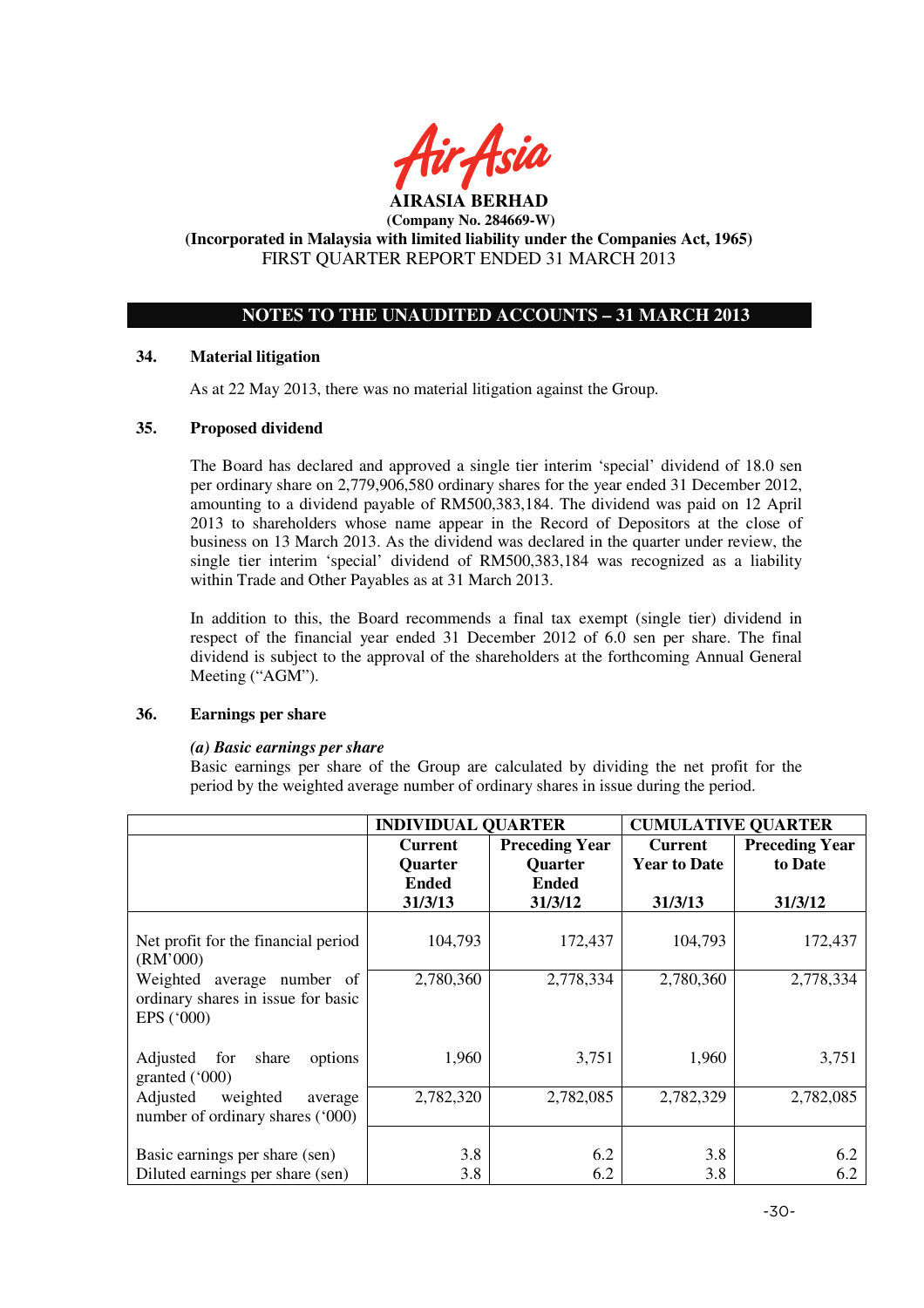

# **NOTES TO THE UNAUDITED ACCOUNTS – 31 MARCH 2013**

## **34. Material litigation**

As at 22 May 2013, there was no material litigation against the Group.

#### **35. Proposed dividend**

The Board has declared and approved a single tier interim 'special' dividend of 18.0 sen per ordinary share on 2,779,906,580 ordinary shares for the year ended 31 December 2012, amounting to a dividend payable of RM500,383,184. The dividend was paid on 12 April 2013 to shareholders whose name appear in the Record of Depositors at the close of business on 13 March 2013. As the dividend was declared in the quarter under review, the single tier interim 'special' dividend of RM500,383,184 was recognized as a liability within Trade and Other Payables as at 31 March 2013.

In addition to this, the Board recommends a final tax exempt (single tier) dividend in respect of the financial year ended 31 December 2012 of 6.0 sen per share. The final dividend is subject to the approval of the shareholders at the forthcoming Annual General Meeting ("AGM").

#### **36. Earnings per share**

#### *(a) Basic earnings per share*

 Basic earnings per share of the Group are calculated by dividing the net profit for the period by the weighted average number of ordinary shares in issue during the period.

|                                                                                         | <b>INDIVIDUAL QUARTER</b> |                       | <b>CUMULATIVE QUARTER</b> |                       |
|-----------------------------------------------------------------------------------------|---------------------------|-----------------------|---------------------------|-----------------------|
|                                                                                         | <b>Current</b>            | <b>Preceding Year</b> | <b>Current</b>            | <b>Preceding Year</b> |
|                                                                                         | <b>Quarter</b>            | <b>Quarter</b>        | <b>Year to Date</b>       | to Date               |
|                                                                                         | <b>Ended</b>              | <b>Ended</b>          |                           |                       |
|                                                                                         | 31/3/13                   | 31/3/12               | 31/3/13                   | 31/3/12               |
| Net profit for the financial period<br>(RM'000)                                         | 104,793                   | 172,437               | 104,793                   | 172,437               |
| Weighted average number of<br>ordinary shares in issue for basic<br>EPS $(^{\circ}000)$ | 2,780,360                 | 2,778,334             | 2,780,360                 | 2,778,334             |
| for<br>Adjusted<br>share<br>options<br>granted $('000)$                                 | 1,960                     | 3,751                 | 1,960                     | 3,751                 |
| Adjusted<br>weighted<br>average<br>number of ordinary shares ('000)                     | 2,782,320                 | 2,782,085             | 2,782,329                 | 2,782,085             |
| Basic earnings per share (sen)<br>Diluted earnings per share (sen)                      | 3.8<br>3.8                | 6.2<br>6.2            | 3.8<br>3.8                | 6.2<br>6.2            |